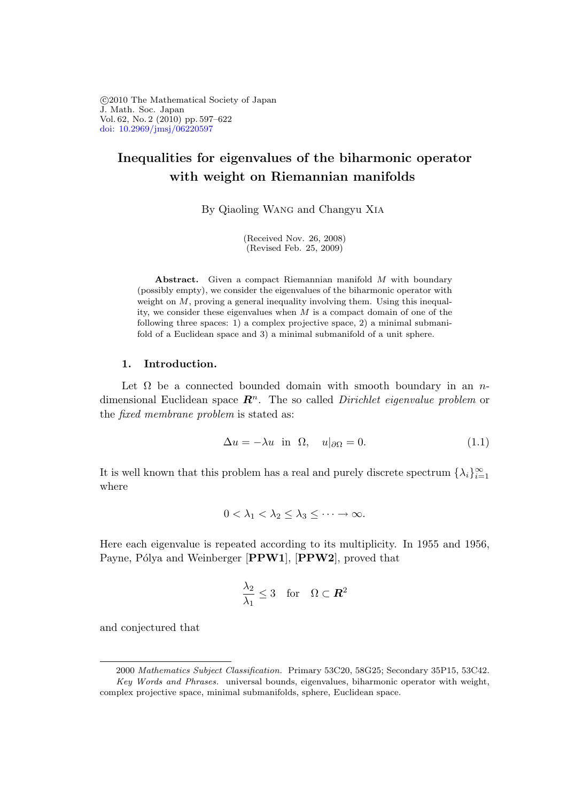°c 2010 The Mathematical Society of Japan J. Math. Soc. Japan Vol. 62, No. 2 (2010) pp. 597–622 [doi: 10.2969/jmsj/06220597](http://dx.doi.org/10.2969/jmsj/06220597)

# Inequalities for eigenvalues of the biharmonic operator with weight on Riemannian manifolds

By Qiaoling Wang and Changyu Xia

(Received Nov. 26, 2008) (Revised Feb. 25, 2009)

Abstract. Given a compact Riemannian manifold M with boundary (possibly empty), we consider the eigenvalues of the biharmonic operator with weight on  $M$ , proving a general inequality involving them. Using this inequality, we consider these eigenvalues when  $M$  is a compact domain of one of the following three spaces: 1) a complex projective space, 2) a minimal submanifold of a Euclidean space and 3) a minimal submanifold of a unit sphere.

### 1. Introduction.

Let  $\Omega$  be a connected bounded domain with smooth boundary in an ndimensional Euclidean space  $\mathbb{R}^n$ . The so called *Dirichlet eigenvalue problem* or the fixed membrane problem is stated as:

$$
\Delta u = -\lambda u \quad \text{in} \quad \Omega, \quad u|_{\partial \Omega} = 0. \tag{1.1}
$$

It is well known that this problem has a real and purely discrete spectrum  $\{\lambda_i\}_{i=1}^{\infty}$ where

$$
0<\lambda_1<\lambda_2\leq\lambda_3\leq\cdots\to\infty.
$$

Here each eigenvalue is repeated according to its multiplicity. In 1955 and 1956, Payne, Pólya and Weinberger [PPW1], [PPW2], proved that

$$
\frac{\lambda_2}{\lambda_1} \le 3 \quad \text{for} \quad \Omega \subset \mathbb{R}^2
$$

and conjectured that

<sup>2000</sup> Mathematics Subject Classification. Primary 53C20, 58G25; Secondary 35P15, 53C42. Key Words and Phrases. universal bounds, eigenvalues, biharmonic operator with weight, complex projective space, minimal submanifolds, sphere, Euclidean space.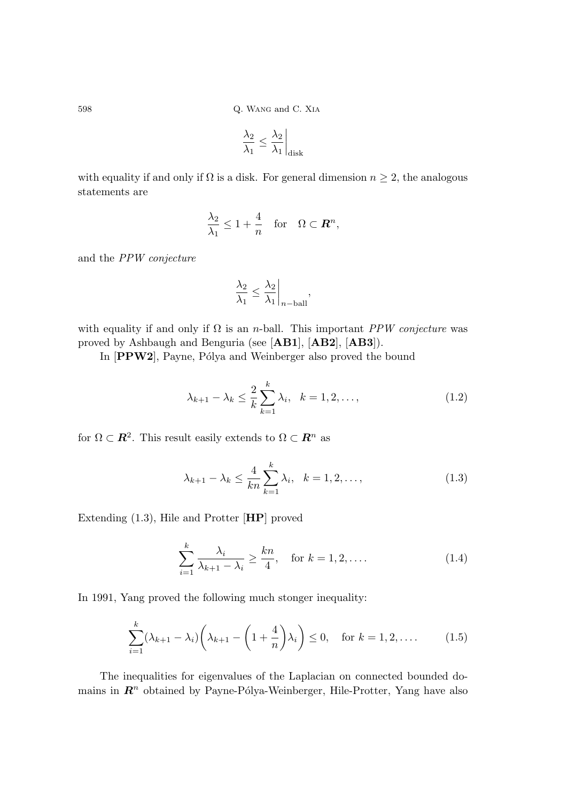$$
\frac{\lambda_2}{\lambda_1} \leq \frac{\lambda_2}{\lambda_1} \bigg|_\mathrm{disk}
$$

with equality if and only if  $\Omega$  is a disk. For general dimension  $n \geq 2$ , the analogous statements are

$$
\frac{\lambda_2}{\lambda_1} \le 1 + \frac{4}{n} \quad \text{for} \quad \Omega \subset \mathbf{R}^n,
$$

and the PPW conjecture

$$
\frac{\lambda_2}{\lambda_1} \le \frac{\lambda_2}{\lambda_1} \bigg|_{n-\text{ball}},
$$

with equality if and only if  $\Omega$  is an *n*-ball. This important *PPW conjecture* was proved by Ashbaugh and Benguria (see [AB1], [AB2], [AB3]).

In [PPW2], Payne, Pólya and Weinberger also proved the bound

$$
\lambda_{k+1} - \lambda_k \leq \frac{2}{k} \sum_{k=1}^k \lambda_i, \quad k = 1, 2, ...,
$$
\n(1.2)

for  $\Omega \subset \mathbb{R}^2$ . This result easily extends to  $\Omega \subset \mathbb{R}^n$  as

$$
\lambda_{k+1} - \lambda_k \le \frac{4}{kn} \sum_{k=1}^k \lambda_i, \quad k = 1, 2, ...,
$$
\n(1.3)

Extending (1.3), Hile and Protter [HP] proved

$$
\sum_{i=1}^{k} \frac{\lambda_i}{\lambda_{k+1} - \lambda_i} \ge \frac{kn}{4}, \quad \text{for } k = 1, 2, \dots
$$
 (1.4)

In 1991, Yang proved the following much stonger inequality:

$$
\sum_{i=1}^{k} (\lambda_{k+1} - \lambda_i) \left( \lambda_{k+1} - \left( 1 + \frac{4}{n} \right) \lambda_i \right) \le 0, \quad \text{for } k = 1, 2, \dots \tag{1.5}
$$

The inequalities for eigenvalues of the Laplacian on connected bounded domains in  $\mathbb{R}^n$  obtained by Payne-Pólya-Weinberger, Hile-Protter, Yang have also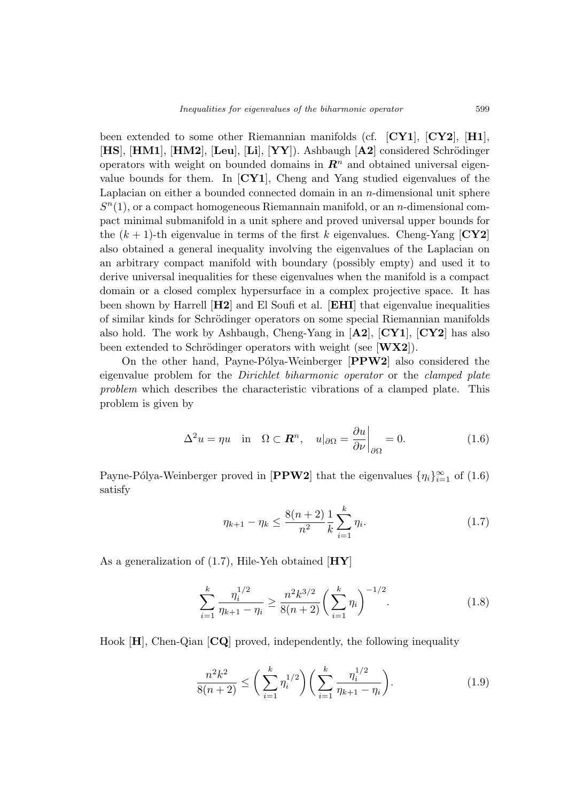been extended to some other Riemannian manifolds (cf. [CY1], [CY2], [H1],  $[HS], [HM1], [HM2], [Leu], [Li], [YY]$ . Ashbaugh  $[A2]$  considered Schrödinger operators with weight on bounded domains in  $\mathbb{R}^n$  and obtained universal eigenvalue bounds for them. In  $\left[{\rm CY1}\right]$ , Cheng and Yang studied eigenvalues of the Laplacian on either a bounded connected domain in an  $n$ -dimensional unit sphere  $S<sup>n</sup>(1)$ , or a compact homogeneous Riemannain manifold, or an *n*-dimensional compact minimal submanifold in a unit sphere and proved universal upper bounds for the  $(k + 1)$ -th eigenvalue in terms of the first k eigenvalues. Cheng-Yang  ${\bf [CY2]}$ also obtained a general inequality involving the eigenvalues of the Laplacian on an arbitrary compact manifold with boundary (possibly empty) and used it to derive universal inequalities for these eigenvalues when the manifold is a compact domain or a closed complex hypersurface in a complex projective space. It has been shown by Harrell [H2] and El Soufi et al. [EHI] that eigenvalue inequalities of similar kinds for Schrödinger operators on some special Riemannian manifolds also hold. The work by Ashbaugh, Cheng-Yang in  $[A2]$ ,  $[CY1]$ ,  $[CY2]$  has also been extended to Schrödinger operators with weight (see  $[\mathbf{W} \mathbf{X} \mathbf{2}]$ ).

On the other hand, Payne-Pólya-Weinberger  $[PPW2]$  also considered the eigenvalue problem for the Dirichlet biharmonic operator or the clamped plate problem which describes the characteristic vibrations of a clamped plate. This problem is given by

$$
\Delta^2 u = \eta u \quad \text{in} \quad \Omega \subset \mathbf{R}^n, \quad u|_{\partial \Omega} = \frac{\partial u}{\partial \nu}\bigg|_{\partial \Omega} = 0. \tag{1.6}
$$

Payne-Pólya-Weinberger proved in [PPW2] that the eigenvalues  $\{\eta_i\}_{i=1}^{\infty}$  of  $(1.6)$ satisfy

$$
\eta_{k+1} - \eta_k \le \frac{8(n+2)}{n^2} \frac{1}{k} \sum_{i=1}^k \eta_i.
$$
 (1.7)

As a generalization of  $(1.7)$ , Hile-Yeh obtained  $[HY]$ 

$$
\sum_{i=1}^{k} \frac{\eta_i^{1/2}}{\eta_{k+1} - \eta_i} \ge \frac{n^2 k^{3/2}}{8(n+2)} \bigg(\sum_{i=1}^{k} \eta_i\bigg)^{-1/2}.
$$
 (1.8)

Hook [H], Chen-Qian [CQ] proved, independently, the following inequality

$$
\frac{n^2k^2}{8(n+2)} \le \left(\sum_{i=1}^k \eta_i^{1/2}\right) \left(\sum_{i=1}^k \frac{\eta_i^{1/2}}{\eta_{k+1} - \eta_i}\right). \tag{1.9}
$$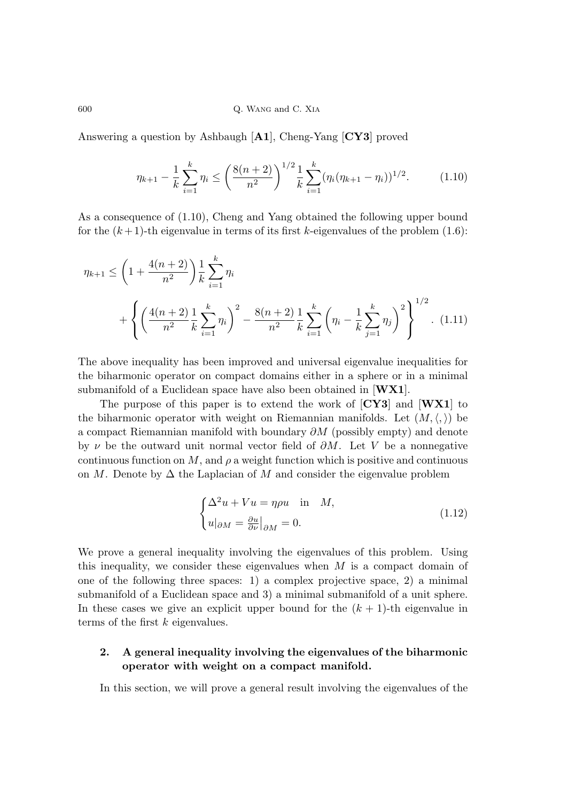Answering a question by Ashbaugh [A1], Cheng-Yang [CY3] proved

$$
\eta_{k+1} - \frac{1}{k} \sum_{i=1}^{k} \eta_i \le \left(\frac{8(n+2)}{n^2}\right)^{1/2} \frac{1}{k} \sum_{i=1}^{k} (\eta_i (\eta_{k+1} - \eta_i))^{1/2}.
$$
 (1.10)

As a consequence of (1.10), Cheng and Yang obtained the following upper bound for the  $(k+1)$ -th eigenvalue in terms of its first k-eigenvalues of the problem  $(1.6)$ :

$$
\eta_{k+1} \le \left(1 + \frac{4(n+2)}{n^2}\right) \frac{1}{k} \sum_{i=1}^k \eta_i
$$
  
+ 
$$
\left\{ \left(\frac{4(n+2)}{n^2} \frac{1}{k} \sum_{i=1}^k \eta_i\right)^2 - \frac{8(n+2)}{n^2} \frac{1}{k} \sum_{i=1}^k \left(\eta_i - \frac{1}{k} \sum_{j=1}^k \eta_j\right)^2 \right\}^{1/2}.
$$
 (1.11)

The above inequality has been improved and universal eigenvalue inequalities for the biharmonic operator on compact domains either in a sphere or in a minimal submanifold of a Euclidean space have also been obtained in  $[WX1]$ .

The purpose of this paper is to extend the work of  $[CY3]$  and  $[WX1]$  to the biharmonic operator with weight on Riemannian manifolds. Let  $(M,\langle,\rangle)$  be a compact Riemannian manifold with boundary ∂M (possibly empty) and denote by  $\nu$  be the outward unit normal vector field of  $\partial M$ . Let V be a nonnegative continuous function on  $M$ , and  $\rho$  a weight function which is positive and continuous on M. Denote by  $\Delta$  the Laplacian of M and consider the eigenvalue problem

$$
\begin{cases} \Delta^2 u + Vu = \eta \rho u & \text{in} \quad M, \\ u|_{\partial M} = \frac{\partial u}{\partial \nu}|_{\partial M} = 0. \end{cases}
$$
 (1.12)

We prove a general inequality involving the eigenvalues of this problem. Using this inequality, we consider these eigenvalues when  $M$  is a compact domain of one of the following three spaces: 1) a complex projective space, 2) a minimal submanifold of a Euclidean space and 3) a minimal submanifold of a unit sphere. In these cases we give an explicit upper bound for the  $(k + 1)$ -th eigenvalue in terms of the first k eigenvalues.

## 2. A general inequality involving the eigenvalues of the biharmonic operator with weight on a compact manifold.

In this section, we will prove a general result involving the eigenvalues of the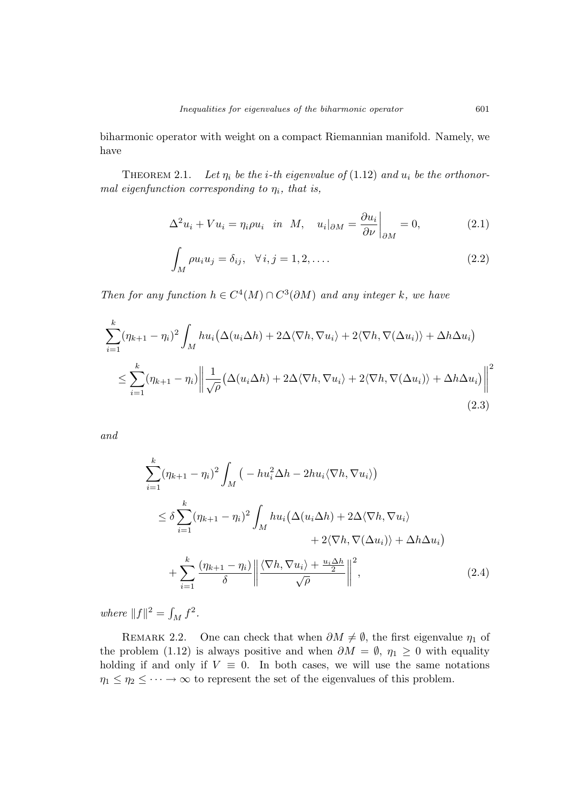biharmonic operator with weight on a compact Riemannian manifold. Namely, we have

THEOREM 2.1. Let  $\eta_i$  be the *i*-th eigenvalue of (1.12) and  $u_i$  be the orthonormal eigenfunction corresponding to  $\eta_i$ , that is,

$$
\Delta^2 u_i + V u_i = \eta_i \rho u_i \quad \text{in} \quad M, \quad u_i|_{\partial M} = \frac{\partial u_i}{\partial \nu} \bigg|_{\partial M} = 0, \tag{2.1}
$$

$$
\int_{M} \rho u_{i} u_{j} = \delta_{ij}, \quad \forall i, j = 1, 2, \dots
$$
\n(2.2)

Then for any function  $h \in C^4(M) \cap C^3(\partial M)$  and any integer k, we have

$$
\sum_{i=1}^{k} (\eta_{k+1} - \eta_i)^2 \int_M h u_i (\Delta(u_i \Delta h) + 2\Delta \langle \nabla h, \nabla u_i \rangle + 2 \langle \nabla h, \nabla (\Delta u_i) \rangle + \Delta h \Delta u_i)
$$
  

$$
\leq \sum_{i=1}^{k} (\eta_{k+1} - \eta_i) \left\| \frac{1}{\sqrt{\rho}} (\Delta(u_i \Delta h) + 2\Delta \langle \nabla h, \nabla u_i \rangle + 2 \langle \nabla h, \nabla (\Delta u_i) \rangle + \Delta h \Delta u_i) \right\|^2
$$
(2.3)

and

$$
\sum_{i=1}^{k} (\eta_{k+1} - \eta_i)^2 \int_M \left( -hu_i^2 \Delta h - 2hu_i \langle \nabla h, \nabla u_i \rangle \right)
$$
  
\n
$$
\leq \delta \sum_{i=1}^{k} (\eta_{k+1} - \eta_i)^2 \int_M hu_i \left( \Delta(u_i \Delta h) + 2\Delta \langle \nabla h, \nabla u_i \rangle \right)
$$
  
\n
$$
+ 2 \langle \nabla h, \nabla (\Delta u_i) \rangle + \Delta h \Delta u_i \right)
$$
  
\n
$$
+ \sum_{i=1}^{k} \frac{(\eta_{k+1} - \eta_i)}{\delta} \left\| \frac{\langle \nabla h, \nabla u_i \rangle + \frac{u_i \Delta h}{2}}{\sqrt{\rho}} \right\|^2,
$$
 (2.4)

where  $||f||^2 = |$  $\int_M f^2$ .

REMARK 2.2. One can check that when  $\partial M \neq \emptyset$ , the first eigenvalue  $\eta_1$  of the problem (1.12) is always positive and when  $\partial M = \emptyset$ ,  $\eta_1 \geq 0$  with equality holding if and only if  $V \equiv 0$ . In both cases, we will use the same notations  $\eta_1 \leq \eta_2 \leq \cdots \to \infty$  to represent the set of the eigenvalues of this problem.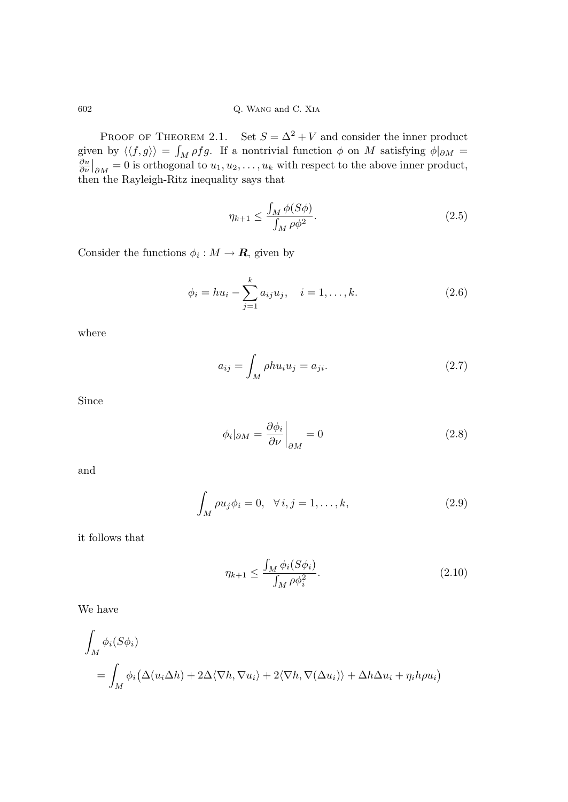PROOF OF THEOREM 2.1. Set  $S = \Delta^2 + V$  and consider the inner product given by  $\langle \langle f, g \rangle \rangle =$ ل<br>م given by  $\langle \langle f, g \rangle \rangle = \int_M \rho f g$ . If a nontrivial function  $\phi$  on M satisfying  $\phi|_{\partial M} = \frac{\partial u}{\partial \nu}|_{\partial M} = 0$  is orthogonal to  $u_1, u_2, \dots, u_k$  with respect to the above inner product,  $\begin{vmatrix} \n\frac{\partial N}{\partial M} = 0 \text{ is orthogonal to } u_1, u_2, \ldots, u_k \text{ with respect to the above inner product,} \n\end{vmatrix}$ then the Rayleigh-Ritz inequality says that

$$
\eta_{k+1} \le \frac{\int_M \phi(S\phi)}{\int_M \rho \phi^2}.
$$
\n(2.5)

Consider the functions  $\phi_i: M \to \mathbf{R}$ , given by

$$
\phi_i = hu_i - \sum_{j=1}^k a_{ij} u_j, \quad i = 1, \dots, k.
$$
 (2.6)

where

$$
a_{ij} = \int_M \rho h u_i u_j = a_{ji}.\tag{2.7}
$$

Since

$$
\phi_i|_{\partial M} = \frac{\partial \phi_i}{\partial \nu}\bigg|_{\partial M} = 0 \tag{2.8}
$$

and

$$
\int_{M} \rho u_{j} \phi_{i} = 0, \quad \forall i, j = 1, \dots, k,
$$
\n(2.9)

it follows that

$$
\eta_{k+1} \le \frac{\int_M \phi_i(S\phi_i)}{\int_M \rho \phi_i^2}.
$$
\n(2.10)

We have

$$
\int_M \phi_i(S\phi_i)
$$
  
= 
$$
\int_M \phi_i(\Delta(u_i \Delta h) + 2\Delta \langle \nabla h, \nabla u_i \rangle + 2\langle \nabla h, \nabla(\Delta u_i) \rangle + \Delta h \Delta u_i + \eta_i h \rho u_i)
$$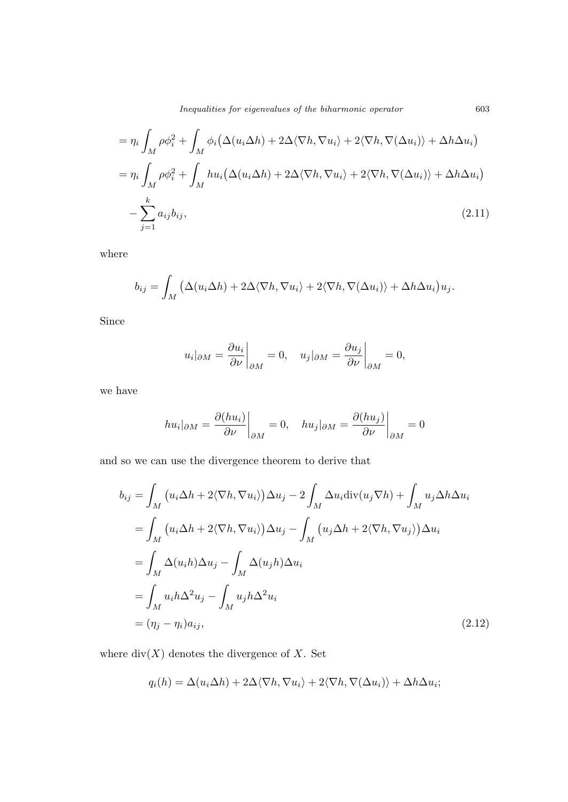$$
= \eta_i \int_M \rho \phi_i^2 + \int_M \phi_i (\Delta(u_i \Delta h) + 2\Delta \langle \nabla h, \nabla u_i \rangle + 2 \langle \nabla h, \nabla (\Delta u_i) \rangle + \Delta h \Delta u_i)
$$
  

$$
= \eta_i \int_M \rho \phi_i^2 + \int_M h u_i (\Delta(u_i \Delta h) + 2\Delta \langle \nabla h, \nabla u_i \rangle + 2 \langle \nabla h, \nabla (\Delta u_i) \rangle + \Delta h \Delta u_i)
$$
  

$$
- \sum_{j=1}^k a_{ij} b_{ij},
$$
 (2.11)

where

$$
b_{ij} = \int_M \left( \Delta(u_i \Delta h) + 2 \Delta \langle \nabla h, \nabla u_i \rangle + 2 \langle \nabla h, \nabla(\Delta u_i) \rangle + \Delta h \Delta u_i \right) u_j.
$$

Since

$$
u_i|_{\partial M} = \frac{\partial u_i}{\partial \nu}\bigg|_{\partial M} = 0, \quad u_j|_{\partial M} = \frac{\partial u_j}{\partial \nu}\bigg|_{\partial M} = 0,
$$

we have

$$
hu_i|_{\partial M} = \frac{\partial (hu_i)}{\partial \nu}\bigg|_{\partial M} = 0, \quad hu_j|_{\partial M} = \frac{\partial (hu_j)}{\partial \nu}\bigg|_{\partial M} = 0
$$

and so we can use the divergence theorem to derive that

$$
b_{ij} = \int_M (u_i \Delta h + 2 \langle \nabla h, \nabla u_i \rangle) \Delta u_j - 2 \int_M \Delta u_i \operatorname{div}(u_j \nabla h) + \int_M u_j \Delta h \Delta u_i
$$
  
\n
$$
= \int_M (u_i \Delta h + 2 \langle \nabla h, \nabla u_i \rangle) \Delta u_j - \int_M (u_j \Delta h + 2 \langle \nabla h, \nabla u_j \rangle) \Delta u_i
$$
  
\n
$$
= \int_M \Delta (u_i h) \Delta u_j - \int_M \Delta (u_j h) \Delta u_i
$$
  
\n
$$
= \int_M u_i h \Delta^2 u_j - \int_M u_j h \Delta^2 u_i
$$
  
\n
$$
= (\eta_j - \eta_i) a_{ij}, \qquad (2.12)
$$

where  $div(X)$  denotes the divergence of X. Set

$$
q_i(h) = \Delta(u_i \Delta h) + 2\Delta \langle \nabla h, \nabla u_i \rangle + 2\langle \nabla h, \nabla(\Delta u_i) \rangle + \Delta h \Delta u_i;
$$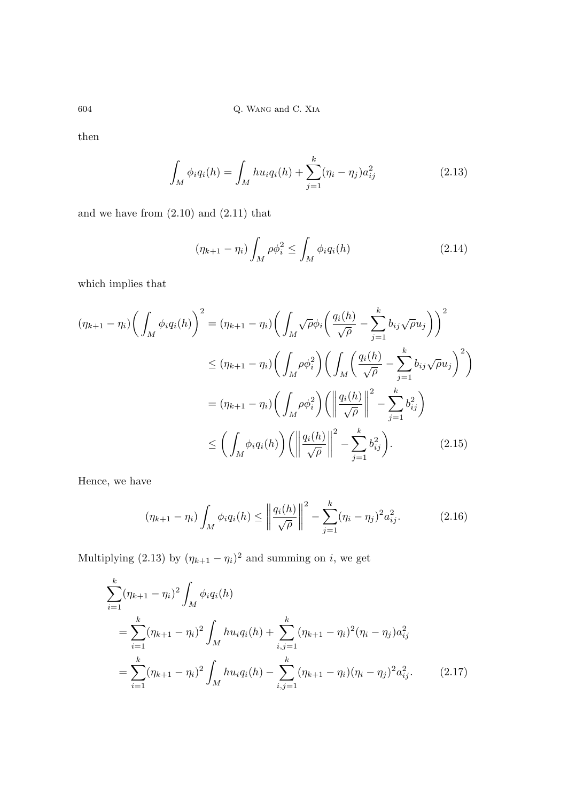then

$$
\int_{M} \phi_i q_i(h) = \int_{M} h u_i q_i(h) + \sum_{j=1}^{k} (\eta_i - \eta_j) a_{ij}^2
$$
\n(2.13)

and we have from (2.10) and (2.11) that

$$
(\eta_{k+1} - \eta_i) \int_M \rho \phi_i^2 \le \int_M \phi_i q_i(h) \tag{2.14}
$$

which implies that

$$
(\eta_{k+1} - \eta_i) \left( \int_M \phi_i q_i(h) \right)^2 = (\eta_{k+1} - \eta_i) \left( \int_M \sqrt{\rho} \phi_i \left( \frac{q_i(h)}{\sqrt{\rho}} - \sum_{j=1}^k b_{ij} \sqrt{\rho} u_j \right) \right)^2
$$
  

$$
\leq (\eta_{k+1} - \eta_i) \left( \int_M \rho \phi_i^2 \right) \left( \int_M \left( \frac{q_i(h)}{\sqrt{\rho}} - \sum_{j=1}^k b_{ij} \sqrt{\rho} u_j \right)^2 \right)
$$
  

$$
= (\eta_{k+1} - \eta_i) \left( \int_M \rho \phi_i^2 \right) \left( \left\| \frac{q_i(h)}{\sqrt{\rho}} \right\|^2 - \sum_{j=1}^k b_{ij}^2 \right)
$$
  

$$
\leq \left( \int_M \phi_i q_i(h) \right) \left( \left\| \frac{q_i(h)}{\sqrt{\rho}} \right\|^2 - \sum_{j=1}^k b_{ij}^2 \right).
$$
 (2.15)

Hence, we have

$$
(\eta_{k+1} - \eta_i) \int_M \phi_i q_i(h) \le \left\| \frac{q_i(h)}{\sqrt{\rho}} \right\|^2 - \sum_{j=1}^k (\eta_i - \eta_j)^2 a_{ij}^2.
$$
 (2.16)

Multiplying (2.13) by  $(\eta_{k+1} - \eta_i)^2$  and summing on *i*, we get

$$
\sum_{i=1}^{k} (\eta_{k+1} - \eta_i)^2 \int_M \phi_i q_i(h)
$$
  
= 
$$
\sum_{i=1}^{k} (\eta_{k+1} - \eta_i)^2 \int_M hu_i q_i(h) + \sum_{i,j=1}^{k} (\eta_{k+1} - \eta_i)^2 (\eta_i - \eta_j) a_{ij}^2
$$
  
= 
$$
\sum_{i=1}^{k} (\eta_{k+1} - \eta_i)^2 \int_M hu_i q_i(h) - \sum_{i,j=1}^{k} (\eta_{k+1} - \eta_i) (\eta_i - \eta_j)^2 a_{ij}^2.
$$
 (2.17)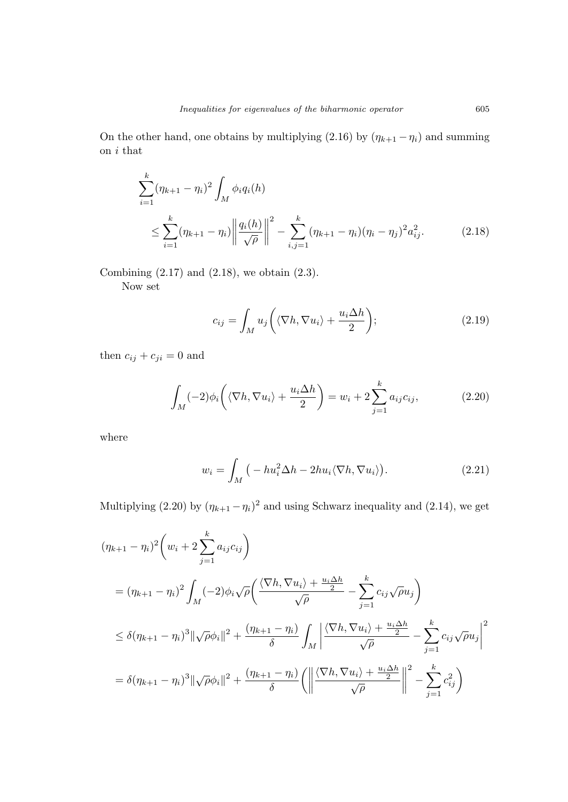On the other hand, one obtains by multiplying (2.16) by  $(\eta_{k+1} - \eta_i)$  and summing on  $i$  that

$$
\sum_{i=1}^{k} (\eta_{k+1} - \eta_i)^2 \int_M \phi_i q_i(h)
$$
\n
$$
\leq \sum_{i=1}^{k} (\eta_{k+1} - \eta_i) \left\| \frac{q_i(h)}{\sqrt{\rho}} \right\|^2 - \sum_{i,j=1}^{k} (\eta_{k+1} - \eta_i) (\eta_i - \eta_j)^2 a_{ij}^2.
$$
\n(2.18)

Combining  $(2.17)$  and  $(2.18)$ , we obtain  $(2.3)$ .

Now set

$$
c_{ij} = \int_M u_j \left( \langle \nabla h, \nabla u_i \rangle + \frac{u_i \Delta h}{2} \right); \tag{2.19}
$$

then  $c_{ij} + c_{ji} = 0$  and

$$
\int_{M} (-2)\phi_i \left( \langle \nabla h, \nabla u_i \rangle + \frac{u_i \Delta h}{2} \right) = w_i + 2 \sum_{j=1}^{k} a_{ij} c_{ij}, \qquad (2.20)
$$

where

$$
w_i = \int_M \left( -hu_i^2 \Delta h - 2hu_i \langle \nabla h, \nabla u_i \rangle \right).
$$
 (2.21)

Multiplying (2.20) by  $(\eta_{k+1} - \eta_i)^2$  and using Schwarz inequality and (2.14), we get

$$
(\eta_{k+1} - \eta_i)^2 \left( w_i + 2 \sum_{j=1}^k a_{ij} c_{ij} \right)
$$
  
=  $(\eta_{k+1} - \eta_i)^2 \int_M (-2) \phi_i \sqrt{\rho} \left( \frac{\langle \nabla h, \nabla u_i \rangle + \frac{u_i \Delta h}{2}}{\sqrt{\rho}} - \sum_{j=1}^k c_{ij} \sqrt{\rho} u_j \right)$   
 $\leq \delta (\eta_{k+1} - \eta_i)^3 \|\sqrt{\rho} \phi_i\|^2 + \frac{(\eta_{k+1} - \eta_i)}{\delta} \int_M \left| \frac{\langle \nabla h, \nabla u_i \rangle + \frac{u_i \Delta h}{2}}{\sqrt{\rho}} - \sum_{j=1}^k c_{ij} \sqrt{\rho} u_j \right|^2$   
=  $\delta (\eta_{k+1} - \eta_i)^3 \|\sqrt{\rho} \phi_i\|^2 + \frac{(\eta_{k+1} - \eta_i)}{\delta} \left( \left\| \frac{\langle \nabla h, \nabla u_i \rangle + \frac{u_i \Delta h}{2}}{\sqrt{\rho}} \right\|^2 - \sum_{j=1}^k c_{ij}^2 \right)$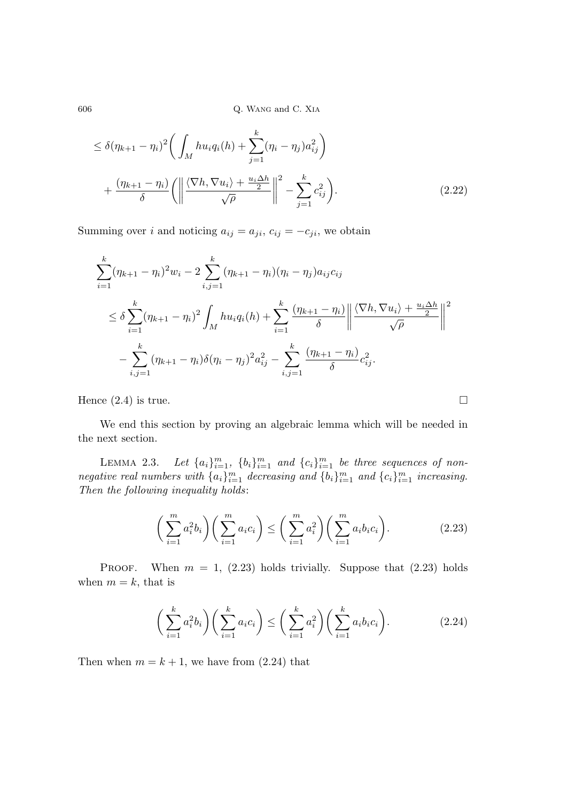$$
\leq \delta(\eta_{k+1} - \eta_i)^2 \bigg( \int_M h u_i q_i(h) + \sum_{j=1}^k (\eta_i - \eta_j) a_{ij}^2 \bigg) + \frac{(\eta_{k+1} - \eta_i)}{\delta} \bigg( \bigg( \frac{\langle \nabla h, \nabla u_i \rangle + \frac{u_i \Delta h}{2}}{\sqrt{\rho}} \bigg)^2 - \sum_{j=1}^k c_{ij}^2 \bigg). \tag{2.22}
$$

Summing over i and noticing  $a_{ij} = a_{ji}$ ,  $c_{ij} = -c_{ji}$ , we obtain

$$
\sum_{i=1}^{k} (\eta_{k+1} - \eta_i)^2 w_i - 2 \sum_{i,j=1}^{k} (\eta_{k+1} - \eta_i)(\eta_i - \eta_j) a_{ij} c_{ij}
$$
\n
$$
\leq \delta \sum_{i=1}^{k} (\eta_{k+1} - \eta_i)^2 \int_M h u_i q_i(h) + \sum_{i=1}^{k} \frac{(\eta_{k+1} - \eta_i)}{\delta} \left\| \frac{\langle \nabla h, \nabla u_i \rangle + \frac{u_i \Delta h}{2}}{\sqrt{\rho}} \right\|^2
$$
\n
$$
- \sum_{i,j=1}^{k} (\eta_{k+1} - \eta_i) \delta(\eta_i - \eta_j)^2 a_{ij}^2 - \sum_{i,j=1}^{k} \frac{(\eta_{k+1} - \eta_i)}{\delta} c_{ij}^2.
$$

Hence  $(2.4)$  is true.  $\Box$ 

We end this section by proving an algebraic lemma which will be needed in the next section.

LEMMA  $2.3$ .  $_{i=1}^{m}$ ,  $\{b_i\}_{i=1}^{m}$  and  $\{c_i\}_{i=1}^{m}$  be three sequences of nonnegative real numbers with  $\{a_i\}_{i=1}^m$  decreasing and  $\{b_i\}_{i=1}^m$  and  $\{c_i\}_{i=1}^m$  increasing. Then the following inequality holds:

$$
\left(\sum_{i=1}^{m} a_i^2 b_i\right) \left(\sum_{i=1}^{m} a_i c_i\right) \le \left(\sum_{i=1}^{m} a_i^2\right) \left(\sum_{i=1}^{m} a_i b_i c_i\right). \tag{2.23}
$$

**PROOF.** When  $m = 1$ , (2.23) holds trivially. Suppose that (2.23) holds when  $m = k$ , that is

$$
\left(\sum_{i=1}^k a_i^2 b_i\right) \left(\sum_{i=1}^k a_i c_i\right) \le \left(\sum_{i=1}^k a_i^2\right) \left(\sum_{i=1}^k a_i b_i c_i\right). \tag{2.24}
$$

Then when  $m = k + 1$ , we have from  $(2.24)$  that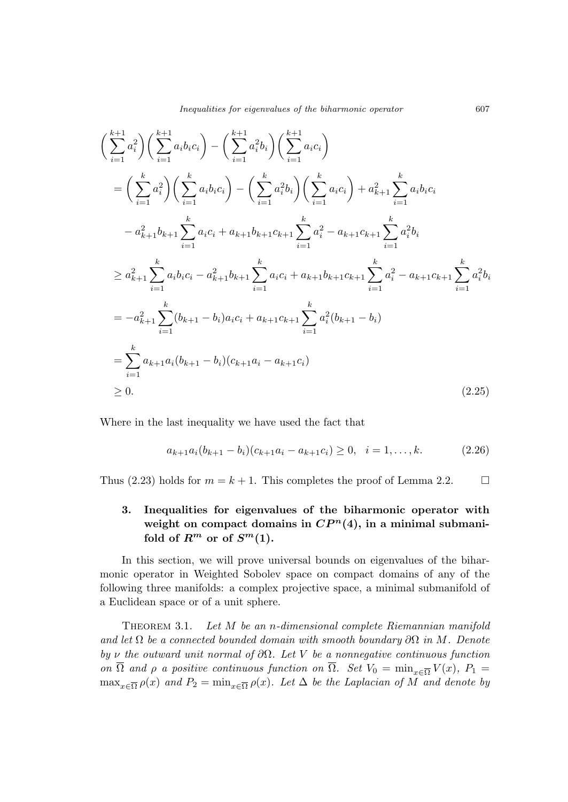$$
\left(\sum_{i=1}^{k+1} a_i^2\right) \left(\sum_{i=1}^{k+1} a_i b_i c_i\right) - \left(\sum_{i=1}^{k+1} a_i^2 b_i\right) \left(\sum_{i=1}^{k+1} a_i c_i\right)
$$
\n
$$
= \left(\sum_{i=1}^k a_i^2\right) \left(\sum_{i=1}^k a_i b_i c_i\right) - \left(\sum_{i=1}^k a_i^2 b_i\right) \left(\sum_{i=1}^k a_i c_i\right) + a_{k+1}^2 \sum_{i=1}^k a_i b_i c_i
$$
\n
$$
-a_{k+1}^2 b_{k+1} \sum_{i=1}^k a_i c_i + a_{k+1} b_{k+1} c_{k+1} \sum_{i=1}^k a_i^2 - a_{k+1} c_{k+1} \sum_{i=1}^k a_i^2 b_i
$$
\n
$$
\ge a_{k+1}^2 \sum_{i=1}^k a_i b_i c_i - a_{k+1}^2 b_{k+1} \sum_{i=1}^k a_i c_i + a_{k+1} b_{k+1} c_{k+1} \sum_{i=1}^k a_i^2 - a_{k+1} c_{k+1} \sum_{i=1}^k a_i^2 b_i
$$
\n
$$
= -a_{k+1}^2 \sum_{i=1}^k (b_{k+1} - b_i) a_i c_i + a_{k+1} c_{k+1} \sum_{i=1}^k a_i^2 (b_{k+1} - b_i)
$$
\n
$$
= \sum_{i=1}^k a_{k+1} a_i (b_{k+1} - b_i) (c_{k+1} a_i - a_{k+1} c_i)
$$
\n
$$
\ge 0.
$$
\n(2.25)

Where in the last inequality we have used the fact that

$$
a_{k+1}a_i(b_{k+1} - b_i)(c_{k+1}a_i - a_{k+1}c_i) \ge 0, \quad i = 1, \dots, k. \tag{2.26}
$$

Thus (2.23) holds for  $m = k + 1$ . This completes the proof of Lemma 2.2.

# 3. Inequalities for eigenvalues of the biharmonic operator with weight on compact domains in  $\mathbb{CP}^n(4)$ , in a minimal submanifold of  $R^m$  or of  $S^m(1)$ .

In this section, we will prove universal bounds on eigenvalues of the biharmonic operator in Weighted Sobolev space on compact domains of any of the following three manifolds: a complex projective space, a minimal submanifold of a Euclidean space or of a unit sphere.

Theorem 3.1. Let M be an n-dimensional complete Riemannian manifold and let  $\Omega$  be a connected bounded domain with smooth boundary  $\partial\Omega$  in M. Denote by  $\nu$  the outward unit normal of  $\partial\Omega$ . Let V be a nonnegative continuous function on  $\Omega$  and  $\rho$  a positive continuous function on  $\Omega$ . Set  $V_0 = \min_{x \in \overline{\Omega}} V(x)$ ,  $P_1 =$  $\max_{x \in \overline{\Omega}} \rho(x)$  and  $P_2 = \min_{x \in \overline{\Omega}} \rho(x)$ . Let  $\Delta$  be the Laplacian of M and denote by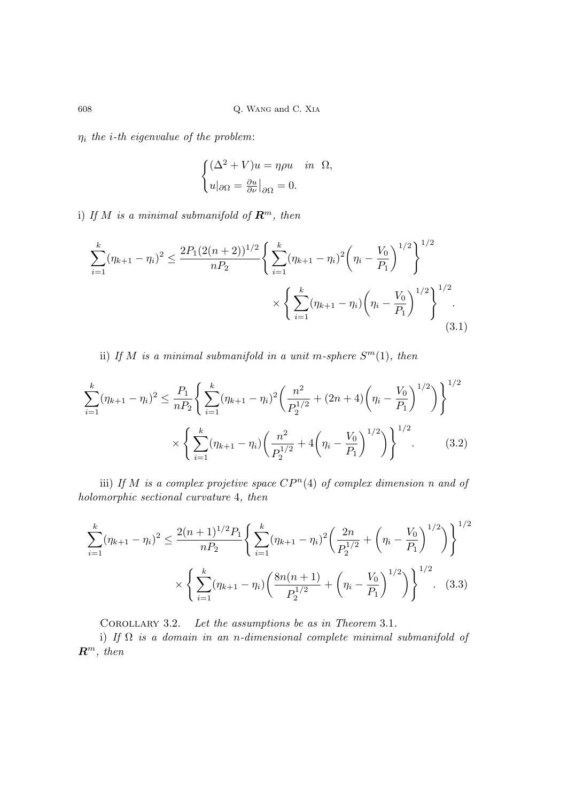$\eta_i$  the *i*-th eigenvalue of the problem:

$$
\begin{cases} (\Delta^2 + V)u = \eta \rho u & \text{in } \Omega, \\ u|_{\partial \Omega} = \frac{\partial u}{\partial \nu}|_{\partial \Omega} = 0. \end{cases}
$$

i) If M is a minimal submanifold of  $\mathbb{R}^m$ , then

$$
\sum_{i=1}^{k} (\eta_{k+1} - \eta_i)^2 \le \frac{2P_1(2(n+2))^{1/2}}{nP_2} \left\{ \sum_{i=1}^{k} (\eta_{k+1} - \eta_i)^2 \left( \eta_i - \frac{V_0}{P_1} \right)^{1/2} \right\}^{1/2} \times \left\{ \sum_{i=1}^{k} (\eta_{k+1} - \eta_i) \left( \eta_i - \frac{V_0}{P_1} \right)^{1/2} \right\}^{1/2}.
$$
\n(3.1)

ii) If M is a minimal submanifold in a unit m-sphere  $S<sup>m</sup>(1)$ , then

$$
\sum_{i=1}^{k} (\eta_{k+1} - \eta_i)^2 \le \frac{P_1}{nP_2} \left\{ \sum_{i=1}^{k} (\eta_{k+1} - \eta_i)^2 \left( \frac{n^2}{P_2^{1/2}} + (2n+4) \left( \eta_i - \frac{V_0}{P_1} \right)^{1/2} \right) \right\}^{1/2} \times \left\{ \sum_{i=1}^{k} (\eta_{k+1} - \eta_i) \left( \frac{n^2}{P_2^{1/2}} + 4 \left( \eta_i - \frac{V_0}{P_1} \right)^{1/2} \right) \right\}^{1/2} . \tag{3.2}
$$

iii) If M is a complex projetive space  $\mathbb{CP}^n(4)$  of complex dimension n and of holomorphic sectional curvature 4, then

$$
\sum_{i=1}^{k} (\eta_{k+1} - \eta_i)^2 \le \frac{2(n+1)^{1/2} P_1}{n P_2} \left\{ \sum_{i=1}^{k} (\eta_{k+1} - \eta_i)^2 \left( \frac{2n}{P_2^{1/2}} + \left( \eta_i - \frac{V_0}{P_1} \right)^{1/2} \right) \right\}^{1/2}
$$

$$
\times \left\{ \sum_{i=1}^{k} (\eta_{k+1} - \eta_i) \left( \frac{8n(n+1)}{P_2^{1/2}} + \left( \eta_i - \frac{V_0}{P_1} \right)^{1/2} \right) \right\}^{1/2}.
$$
 (3.3)

COROLLARY 3.2. Let the assumptions be as in Theorem 3.1.

i) If  $\Omega$  is a domain in an n-dimensional complete minimal submanifold of  $\mathbb{R}^m$ , then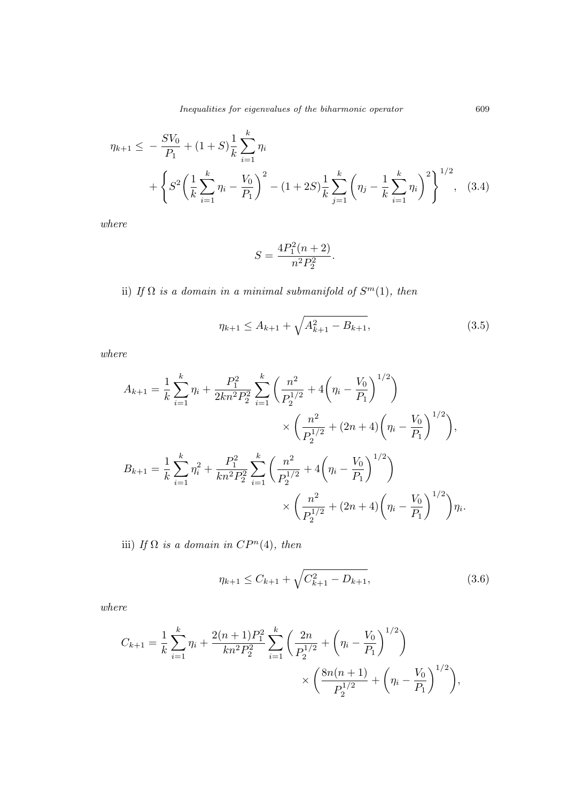$$
\eta_{k+1} \leq -\frac{SV_0}{P_1} + (1+S)\frac{1}{k}\sum_{i=1}^k \eta_i
$$
  
+ 
$$
\left\{ S^2 \left( \frac{1}{k} \sum_{i=1}^k \eta_i - \frac{V_0}{P_1} \right)^2 - (1+2S)\frac{1}{k}\sum_{j=1}^k \left( \eta_j - \frac{1}{k} \sum_{i=1}^k \eta_i \right)^2 \right\}^{1/2}, \quad (3.4)
$$

where

$$
S=\frac{4P_1^2(n+2)}{n^2P_2^2}.
$$

ii) If  $\Omega$  is a domain in a minimal submanifold of  $S<sup>m</sup>(1)$ , then

$$
\eta_{k+1} \le A_{k+1} + \sqrt{A_{k+1}^2 - B_{k+1}},\tag{3.5}
$$

where

$$
A_{k+1} = \frac{1}{k} \sum_{i=1}^{k} \eta_i + \frac{P_1^2}{2kn^2 P_2^2} \sum_{i=1}^{k} \left( \frac{n^2}{P_2^{1/2}} + 4\left(\eta_i - \frac{V_0}{P_1}\right)^{1/2} \right)
$$
  

$$
\times \left( \frac{n^2}{P_2^{1/2}} + (2n+4)\left(\eta_i - \frac{V_0}{P_1}\right)^{1/2} \right),
$$
  

$$
B_{k+1} = \frac{1}{k} \sum_{i=1}^{k} \eta_i^2 + \frac{P_1^2}{kn^2 P_2^2} \sum_{i=1}^{k} \left( \frac{n^2}{P_2^{1/2}} + 4\left(\eta_i - \frac{V_0}{P_1}\right)^{1/2} \right)
$$
  

$$
\times \left( \frac{n^2}{P_2^{1/2}} + (2n+4)\left(\eta_i - \frac{V_0}{P_1}\right)^{1/2} \right) \eta_i.
$$

iii) If  $\Omega$  is a domain in  $CP^n(4)$ , then

$$
\eta_{k+1} \le C_{k+1} + \sqrt{C_{k+1}^2 - D_{k+1}},\tag{3.6}
$$

where

$$
C_{k+1} = \frac{1}{k} \sum_{i=1}^{k} \eta_i + \frac{2(n+1)P_1^2}{kn^2 P_2^2} \sum_{i=1}^{k} \left( \frac{2n}{P_2^{1/2}} + \left( \eta_i - \frac{V_0}{P_1} \right)^{1/2} \right) \times \left( \frac{8n(n+1)}{P_2^{1/2}} + \left( \eta_i - \frac{V_0}{P_1} \right)^{1/2} \right),
$$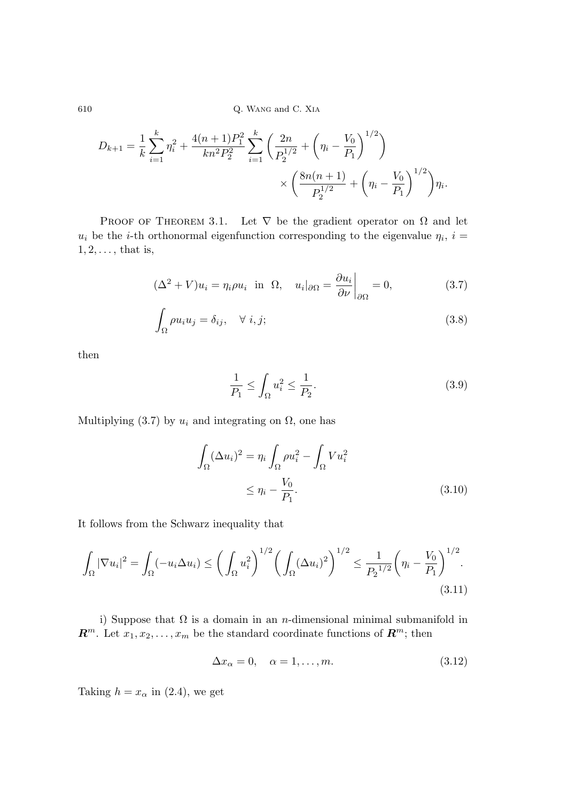$$
D_{k+1} = \frac{1}{k} \sum_{i=1}^{k} \eta_i^2 + \frac{4(n+1)P_1^2}{kn^2 P_2^2} \sum_{i=1}^{k} \left( \frac{2n}{P_2^{1/2}} + \left( \eta_i - \frac{V_0}{P_1} \right)^{1/2} \right) \times \left( \frac{8n(n+1)}{P_2^{1/2}} + \left( \eta_i - \frac{V_0}{P_1} \right)^{1/2} \right) \eta_i.
$$

PROOF OF THEOREM 3.1. Let  $\nabla$  be the gradient operator on  $\Omega$  and let  $u_i$  be the *i*-th orthonormal eigenfunction corresponding to the eigenvalue  $\eta_i$ ,  $i =$  $1, 2, \ldots$ , that is,

$$
(\Delta^2 + V)u_i = \eta_i \rho u_i \text{ in } \Omega, \quad u_i|_{\partial\Omega} = \frac{\partial u_i}{\partial \nu}\bigg|_{\partial\Omega} = 0,
$$
 (3.7)

$$
\int_{\Omega} \rho u_i u_j = \delta_{ij}, \quad \forall \ i, j;
$$
\n(3.8)

then

$$
\frac{1}{P_1} \le \int_{\Omega} u_i^2 \le \frac{1}{P_2}.\tag{3.9}
$$

Multiplying (3.7) by  $u_i$  and integrating on  $\Omega$ , one has

$$
\int_{\Omega} (\Delta u_i)^2 = \eta_i \int_{\Omega} \rho u_i^2 - \int_{\Omega} V u_i^2
$$
\n
$$
\leq \eta_i - \frac{V_0}{P_1}.
$$
\n(3.10)

It follows from the Schwarz inequality that

$$
\int_{\Omega} |\nabla u_i|^2 = \int_{\Omega} (-u_i \Delta u_i) \le \left( \int_{\Omega} u_i^2 \right)^{1/2} \left( \int_{\Omega} (\Delta u_i)^2 \right)^{1/2} \le \frac{1}{P_2^{1/2}} \left( \eta_i - \frac{V_0}{P_1} \right)^{1/2}.
$$
\n(3.11)

i) Suppose that  $\Omega$  is a domain in an *n*-dimensional minimal submanifold in  $\mathbb{R}^m$ . Let  $x_1, x_2, \ldots, x_m$  be the standard coordinate functions of  $\mathbb{R}^m$ ; then

$$
\Delta x_{\alpha} = 0, \quad \alpha = 1, \dots, m. \tag{3.12}
$$

Taking  $h = x_\alpha$  in (2.4), we get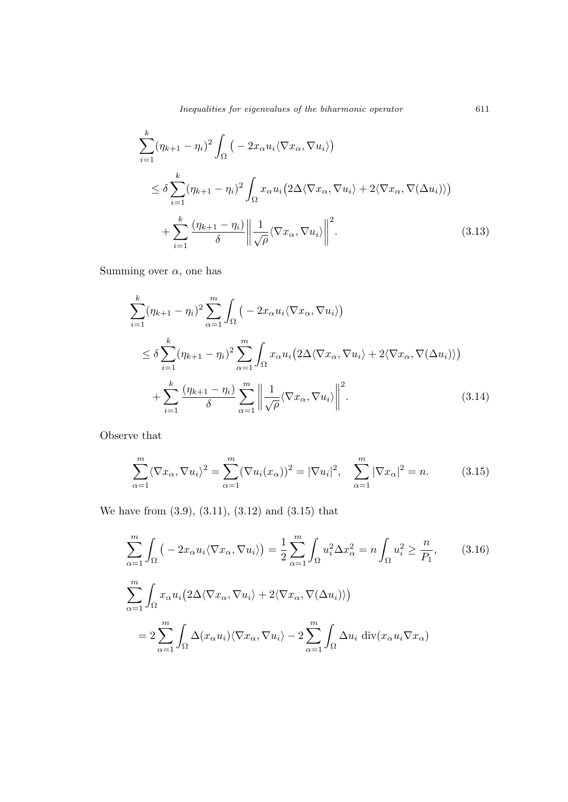$$
\sum_{i=1}^{k} (\eta_{k+1} - \eta_i)^2 \int_{\Omega} \left( -2x_{\alpha} u_i \langle \nabla x_{\alpha}, \nabla u_i \rangle \right)
$$
\n
$$
\leq \delta \sum_{i=1}^{k} (\eta_{k+1} - \eta_i)^2 \int_{\Omega} x_{\alpha} u_i \left( 2\Delta \langle \nabla x_{\alpha}, \nabla u_i \rangle + 2 \langle \nabla x_{\alpha}, \nabla (\Delta u_i) \rangle \right)
$$
\n
$$
+ \sum_{i=1}^{k} \frac{(\eta_{k+1} - \eta_i)}{\delta} \left\| \frac{1}{\sqrt{\rho}} \langle \nabla x_{\alpha}, \nabla u_i \rangle \right\|^2.
$$
\n(3.13)

Summing over  $\alpha$ , one has

$$
\sum_{i=1}^{k} (\eta_{k+1} - \eta_i)^2 \sum_{\alpha=1}^{m} \int_{\Omega} \left( -2x_{\alpha} u_i \langle \nabla x_{\alpha}, \nabla u_i \rangle \right)
$$
\n
$$
\leq \delta \sum_{i=1}^{k} (\eta_{k+1} - \eta_i)^2 \sum_{\alpha=1}^{m} \int_{\Omega} x_{\alpha} u_i \left( 2\Delta \langle \nabla x_{\alpha}, \nabla u_i \rangle + 2 \langle \nabla x_{\alpha}, \nabla (\Delta u_i) \rangle \right)
$$
\n
$$
+ \sum_{i=1}^{k} \frac{(\eta_{k+1} - \eta_i)}{\delta} \sum_{\alpha=1}^{m} \left\| \frac{1}{\sqrt{\rho}} \langle \nabla x_{\alpha}, \nabla u_i \rangle \right\|^2.
$$
\n(3.14)

Observe that

$$
\sum_{\alpha=1}^{m} \langle \nabla x_{\alpha}, \nabla u_{i} \rangle^{2} = \sum_{\alpha=1}^{m} (\nabla u_{i}(x_{\alpha}))^{2} = |\nabla u_{i}|^{2}, \quad \sum_{\alpha=1}^{m} |\nabla x_{\alpha}|^{2} = n. \tag{3.15}
$$

We have from (3.9), (3.11), (3.12) and (3.15) that

$$
\sum_{\alpha=1}^{m} \int_{\Omega} \left( -2x_{\alpha} u_{i} \langle \nabla x_{\alpha}, \nabla u_{i} \rangle \right) = \frac{1}{2} \sum_{\alpha=1}^{m} \int_{\Omega} u_{i}^{2} \Delta x_{\alpha}^{2} = n \int_{\Omega} u_{i}^{2} \ge \frac{n}{P_{1}}, \qquad (3.16)
$$

$$
\sum_{\alpha=1}^{m} \int_{\Omega} x_{\alpha} u_{i} \left( 2\Delta \langle \nabla x_{\alpha}, \nabla u_{i} \rangle + 2 \langle \nabla x_{\alpha}, \nabla (\Delta u_{i}) \rangle \right)
$$

$$
= 2 \sum_{\alpha=1}^{m} \int_{\Omega} \Delta (x_{\alpha} u_{i}) \langle \nabla x_{\alpha}, \nabla u_{i} \rangle - 2 \sum_{\alpha=1}^{m} \int_{\Omega} \Delta u_{i} \operatorname{div} (x_{\alpha} u_{i} \nabla x_{\alpha})
$$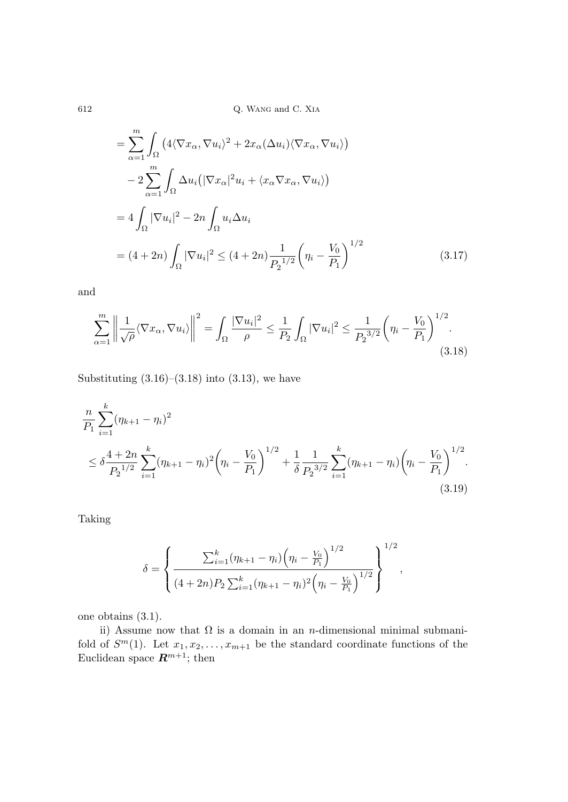$$
= \sum_{\alpha=1}^{m} \int_{\Omega} \left( 4 \langle \nabla x_{\alpha}, \nabla u_{i} \rangle^{2} + 2x_{\alpha} (\Delta u_{i}) \langle \nabla x_{\alpha}, \nabla u_{i} \rangle \right)
$$
  
\n
$$
- 2 \sum_{\alpha=1}^{m} \int_{\Omega} \Delta u_{i} \left( |\nabla x_{\alpha}|^{2} u_{i} + \langle x_{\alpha} \nabla x_{\alpha}, \nabla u_{i} \rangle \right)
$$
  
\n
$$
= 4 \int_{\Omega} |\nabla u_{i}|^{2} - 2n \int_{\Omega} u_{i} \Delta u_{i}
$$
  
\n
$$
= (4 + 2n) \int_{\Omega} |\nabla u_{i}|^{2} \le (4 + 2n) \frac{1}{P_{2}^{1/2}} \left( \eta_{i} - \frac{V_{0}}{P_{1}} \right)^{1/2}
$$
(3.17)

and

$$
\sum_{\alpha=1}^{m} \left\| \frac{1}{\sqrt{\rho}} \langle \nabla x_{\alpha}, \nabla u_{i} \rangle \right\|^{2} = \int_{\Omega} \frac{|\nabla u_{i}|^{2}}{\rho} \le \frac{1}{P_{2}} \int_{\Omega} |\nabla u_{i}|^{2} \le \frac{1}{P_{2}^{3/2}} \left(\eta_{i} - \frac{V_{0}}{P_{1}}\right)^{1/2}.
$$
\n(3.18)

Substituting  $(3.16)$ – $(3.18)$  into  $(3.13)$ , we have

$$
\frac{n}{P_1} \sum_{i=1}^k (\eta_{k+1} - \eta_i)^2
$$
\n
$$
\leq \delta \frac{4 + 2n}{P_2^{1/2}} \sum_{i=1}^k (\eta_{k+1} - \eta_i)^2 \left(\eta_i - \frac{V_0}{P_1}\right)^{1/2} + \frac{1}{\delta} \frac{1}{P_2^{3/2}} \sum_{i=1}^k (\eta_{k+1} - \eta_i) \left(\eta_i - \frac{V_0}{P_1}\right)^{1/2}.
$$
\n(3.19)

Taking

$$
\delta = \left\{ \frac{\sum_{i=1}^{k} (\eta_{k+1} - \eta_i) ( \eta_i - \frac{V_0}{P_1} )^{1/2}}{(4 + 2n) P_2 \sum_{i=1}^{k} (\eta_{k+1} - \eta_i)^2 ( \eta_i - \frac{V_0}{P_1} )^{1/2}} \right\}^{1/2},
$$

one obtains (3.1).

ii) Assume now that  $\Omega$  is a domain in an *n*-dimensional minimal submanifold of  $S^m(1)$ . Let  $x_1, x_2, \ldots, x_{m+1}$  be the standard coordinate functions of the Euclidean space  $\mathbf{R}^{m+1}$ ; then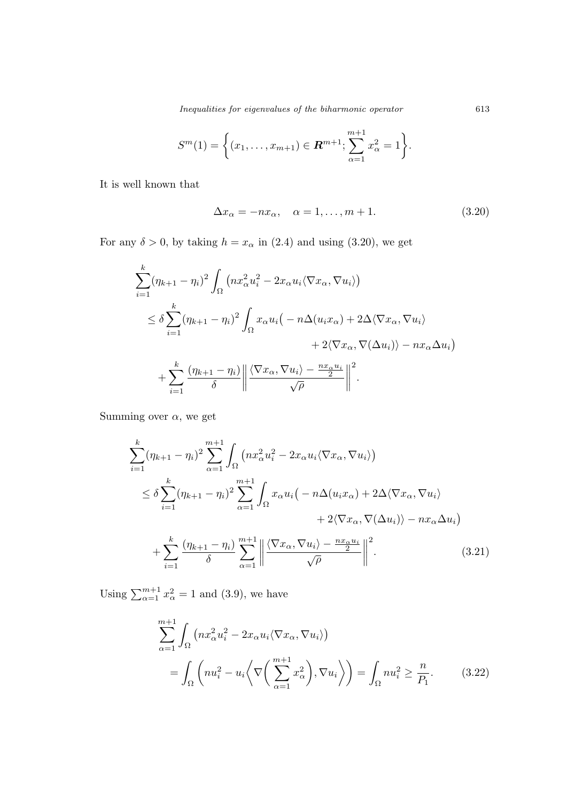$$
S^{m}(1) = \left\{ (x_1, \ldots, x_{m+1}) \in \mathbf{R}^{m+1}; \sum_{\alpha=1}^{m+1} x_{\alpha}^{2} = 1 \right\}.
$$

It is well known that

$$
\Delta x_{\alpha} = -nx_{\alpha}, \quad \alpha = 1, \dots, m+1. \tag{3.20}
$$

For any  $\delta > 0$ , by taking  $h = x_{\alpha}$  in (2.4) and using (3.20), we get

$$
\sum_{i=1}^{k} (\eta_{k+1} - \eta_i)^2 \int_{\Omega} \left( nx_{\alpha}^2 u_i^2 - 2x_{\alpha} u_i \langle \nabla x_{\alpha}, \nabla u_i \rangle \right)
$$
\n
$$
\leq \delta \sum_{i=1}^{k} (\eta_{k+1} - \eta_i)^2 \int_{\Omega} x_{\alpha} u_i \left( -n \Delta(u_i x_{\alpha}) + 2 \Delta \langle \nabla x_{\alpha}, \nabla u_i \rangle \right. \\
\left. + 2 \langle \nabla x_{\alpha}, \nabla(\Delta u_i) \rangle - nx_{\alpha} \Delta u_i \right)
$$
\n
$$
+ \sum_{i=1}^{k} \frac{(\eta_{k+1} - \eta_i)}{\delta} \left\| \frac{\langle \nabla x_{\alpha}, \nabla u_i \rangle - \frac{n x_{\alpha} u_i}{2}}{\sqrt{\rho}} \right\|^2.
$$

Summing over  $\alpha$ , we get

$$
\sum_{i=1}^{k} (\eta_{k+1} - \eta_i)^2 \sum_{\alpha=1}^{m+1} \int_{\Omega} \left( nx_{\alpha}^2 u_i^2 - 2x_{\alpha} u_i \langle \nabla x_{\alpha}, \nabla u_i \rangle \right)
$$
\n
$$
\leq \delta \sum_{i=1}^{k} (\eta_{k+1} - \eta_i)^2 \sum_{\alpha=1}^{m+1} \int_{\Omega} x_{\alpha} u_i \left( -n \Delta(u_i x_{\alpha}) + 2 \Delta \langle \nabla x_{\alpha}, \nabla u_i \rangle \right. \\
\left. + 2 \langle \nabla x_{\alpha}, \nabla(\Delta u_i) \rangle - nx_{\alpha} \Delta u_i \right)
$$
\n
$$
+ \sum_{i=1}^{k} \frac{(\eta_{k+1} - \eta_i)}{\delta} \sum_{\alpha=1}^{m+1} \left\| \frac{\langle \nabla x_{\alpha}, \nabla u_i \rangle - \frac{nx_{\alpha} u_i}{2}}{\sqrt{\rho}} \right\|^2. \tag{3.21}
$$

Using  $\sum_{\alpha=1}^{m+1} x_{\alpha}^2 = 1$  and (3.9), we have

$$
\sum_{\alpha=1}^{m+1} \int_{\Omega} \left( nx_{\alpha}^2 u_i^2 - 2x_{\alpha} u_i \langle \nabla x_{\alpha}, \nabla u_i \rangle \right)
$$
  
= 
$$
\int_{\Omega} \left( nu_i^2 - u_i \langle \nabla \left( \sum_{\alpha=1}^{m+1} x_{\alpha}^2 \right), \nabla u_i \rangle \right) = \int_{\Omega} nu_i^2 \ge \frac{n}{P_1}.
$$
 (3.22)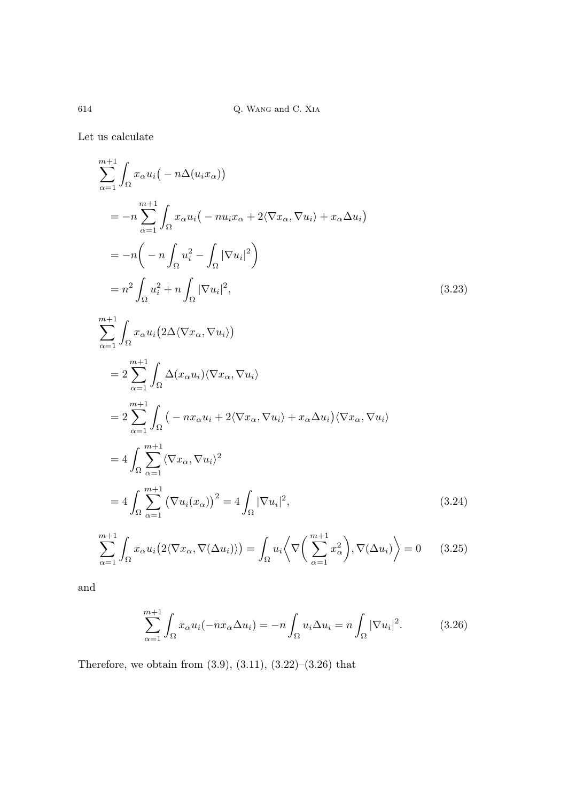$614$   $\,$  Q. Wang and C. XIA

Let us calculate

$$
\sum_{\alpha=1}^{m+1} \int_{\Omega} x_{\alpha} u_i \left( -n \Delta(u_i x_{\alpha}) \right)
$$
  
\n
$$
= -n \sum_{\alpha=1}^{m+1} \int_{\Omega} x_{\alpha} u_i \left( -nu_i x_{\alpha} + 2 \langle \nabla x_{\alpha}, \nabla u_i \rangle + x_{\alpha} \Delta u_i \right)
$$
  
\n
$$
= -n \left( -n \int_{\Omega} u_i^2 - \int_{\Omega} |\nabla u_i|^2 \right)
$$
  
\n
$$
= n^2 \int_{\Omega} u_i^2 + n \int_{\Omega} |\nabla u_i|^2,
$$
  
\n
$$
\sum_{\alpha=1}^{m+1} \int_{\Omega} x_{\alpha} u_i \left( 2 \Delta \langle \nabla x_{\alpha}, \nabla u_i \rangle \right)
$$
  
\n
$$
= 2 \sum_{\alpha=1}^{m+1} \int_{\Omega} \Delta(x_{\alpha} u_i) \langle \nabla x_{\alpha}, \nabla u_i \rangle
$$
  
\n
$$
= 2 \sum_{\alpha=1}^{m+1} \int_{\Omega} \left( -nx_{\alpha} u_i + 2 \langle \nabla x_{\alpha}, \nabla u_i \rangle + x_{\alpha} \Delta u_i \right) \langle \nabla x_{\alpha}, \nabla u_i \rangle
$$
  
\n
$$
= 4 \int_{\Omega} \sum_{\alpha=1}^{m+1} \langle \nabla x_{\alpha}, \nabla u_i \rangle^2
$$
  
\n
$$
= 4 \int_{\Omega} \sum_{\alpha=1}^{m+1} \left( \nabla u_i (x_{\alpha}) \right)^2 = 4 \int_{\Omega} |\nabla u_i|^2,
$$
  
\n(3.24)

$$
\sum_{\alpha=1}^{m+1} \int_{\Omega} x_{\alpha} u_i \big( 2 \langle \nabla x_{\alpha}, \nabla (\Delta u_i) \rangle \big) = \int_{\Omega} u_i \bigg\langle \nabla \bigg( \sum_{\alpha=1}^{m+1} x_{\alpha}^2 \bigg), \nabla (\Delta u_i) \bigg\rangle = 0 \qquad (3.25)
$$

and

$$
\sum_{\alpha=1}^{m+1} \int_{\Omega} x_{\alpha} u_i(-nx_{\alpha} \Delta u_i) = -n \int_{\Omega} u_i \Delta u_i = n \int_{\Omega} |\nabla u_i|^2.
$$
 (3.26)

Therefore, we obtain from  $(3.9)$ ,  $(3.11)$ ,  $(3.22)$ – $(3.26)$  that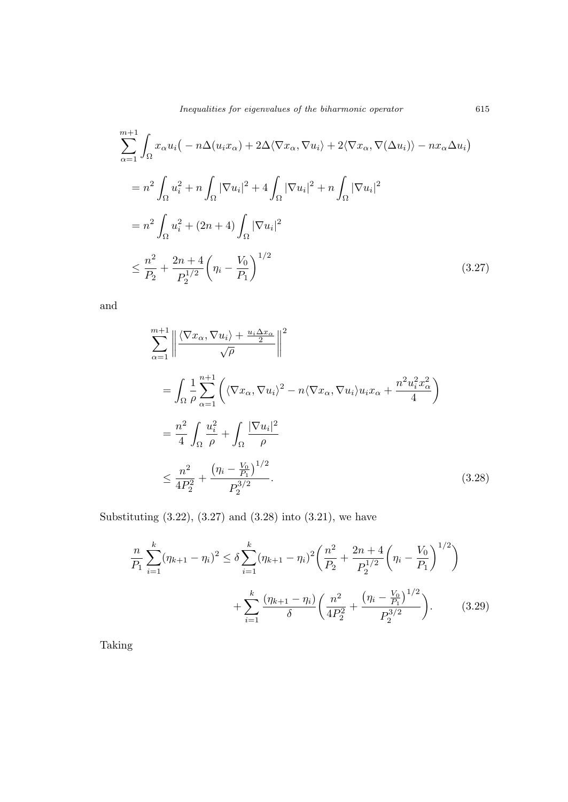$$
\sum_{\alpha=1}^{m+1} \int_{\Omega} x_{\alpha} u_i \left( -n \Delta(u_i x_{\alpha}) + 2 \Delta \langle \nabla x_{\alpha}, \nabla u_i \rangle + 2 \langle \nabla x_{\alpha}, \nabla (\Delta u_i) \rangle - nx_{\alpha} \Delta u_i \right)
$$
  

$$
= n^2 \int_{\Omega} u_i^2 + n \int_{\Omega} |\nabla u_i|^2 + 4 \int_{\Omega} |\nabla u_i|^2 + n \int_{\Omega} |\nabla u_i|^2
$$
  

$$
= n^2 \int_{\Omega} u_i^2 + (2n + 4) \int_{\Omega} |\nabla u_i|^2
$$
  

$$
\leq \frac{n^2}{P_2} + \frac{2n + 4}{P_2^{1/2}} \left( \eta_i - \frac{V_0}{P_1} \right)^{1/2}
$$
 (3.27)

and

$$
\sum_{\alpha=1}^{m+1} \left\| \frac{\langle \nabla x_{\alpha}, \nabla u_{i} \rangle + \frac{u_{i} \Delta x_{\alpha}}{\sqrt{\rho}} \right\|^{2}}{\sqrt{\rho}} \right\|^{2}
$$
\n
$$
= \int_{\Omega} \frac{1}{\rho} \sum_{\alpha=1}^{n+1} \left( \langle \nabla x_{\alpha}, \nabla u_{i} \rangle^{2} - n \langle \nabla x_{\alpha}, \nabla u_{i} \rangle u_{i} x_{\alpha} + \frac{n^{2} u_{i}^{2} x_{\alpha}^{2}}{4} \right)
$$
\n
$$
= \frac{n^{2}}{4} \int_{\Omega} \frac{u_{i}^{2}}{\rho} + \int_{\Omega} \frac{|\nabla u_{i}|^{2}}{\rho} \left( \frac{|\nabla u_{i}|^{2}}{\rho} \right)
$$
\n
$$
\leq \frac{n^{2}}{4P_{2}^{2}} + \frac{\left( \eta_{i} - \frac{V_{0}}{P_{1}} \right)^{1/2}}{P_{2}^{3/2}}.
$$
\n(3.28)

Substituting (3.22), (3.27) and (3.28) into (3.21), we have

$$
\frac{n}{P_1} \sum_{i=1}^k (\eta_{k+1} - \eta_i)^2 \le \delta \sum_{i=1}^k (\eta_{k+1} - \eta_i)^2 \left( \frac{n^2}{P_2} + \frac{2n+4}{P_2^{1/2}} \left( \eta_i - \frac{V_0}{P_1} \right)^{1/2} \right) + \sum_{i=1}^k \frac{(\eta_{k+1} - \eta_i)}{\delta} \left( \frac{n^2}{4P_2^2} + \frac{(\eta_i - \frac{V_0}{P_1})^{1/2}}{P_2^{3/2}} \right).
$$
(3.29)

Taking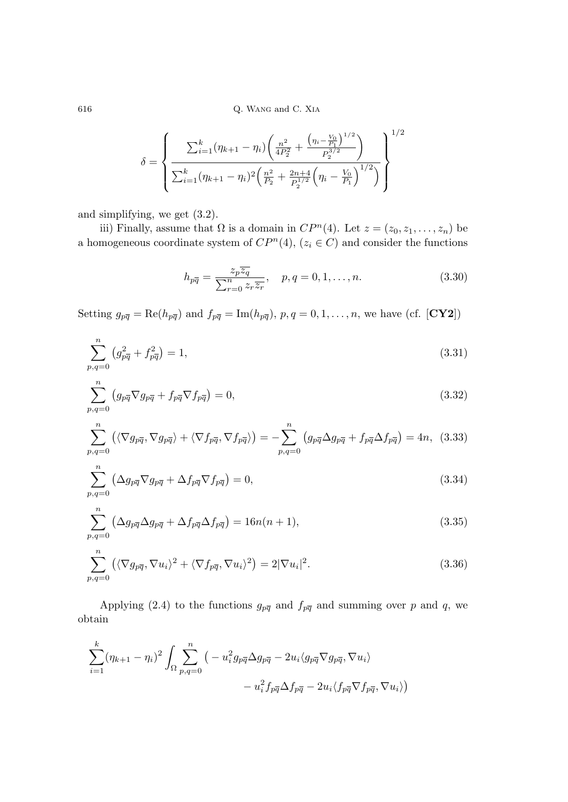$$
\delta = \left\{ \frac{\sum_{i=1}^{k} (\eta_{k+1} - \eta_i) \left( \frac{n^2}{4P_2^2} + \frac{\left( \eta_i - \frac{V_0}{P_1} \right)^{1/2}}{P_2^{3/2}} \right)}{\sum_{i=1}^{k} (\eta_{k+1} - \eta_i)^2 \left( \frac{n^2}{P_2} + \frac{2n+4}{P_2^{1/2}} \left( \eta_i - \frac{V_0}{P_1} \right)^{1/2} \right)} \right\}^{1/2}
$$

and simplifying, we get (3.2).

iii) Finally, assume that  $\Omega$  is a domain in  $CP^n(4)$ . Let  $z = (z_0, z_1, \ldots, z_n)$  be a homogeneous coordinate system of  $CP<sup>n</sup>(4)$ ,  $(z<sub>i</sub> \in C)$  and consider the functions

$$
h_{p\overline{q}} = \frac{z_p \overline{z_q}}{\sum_{r=0}^n z_r \overline{z_r}}, \quad p, q = 0, 1, \dots, n.
$$
 (3.30)

Setting  $g_{p\bar{q}} = \text{Re}(h_{p\bar{q}})$  and  $f_{p\bar{q}} = \text{Im}(h_{p\bar{q}}), p, q = 0, 1, \ldots, n$ , we have (cf. [**CY2**])

$$
\sum_{p,q=0}^{n} \left( g_{p\overline{q}}^2 + f_{p\overline{q}}^2 \right) = 1,\tag{3.31}
$$

$$
\sum_{p,q=0}^{n} \left( g_{p\overline{q}} \nabla g_{p\overline{q}} + f_{p\overline{q}} \nabla f_{p\overline{q}} \right) = 0, \tag{3.32}
$$

$$
\sum_{p,q=0}^{n} \left( \langle \nabla g_{p\overline{q}}, \nabla g_{p\overline{q}} \rangle + \langle \nabla f_{p\overline{q}}, \nabla f_{p\overline{q}} \rangle \right) = -\sum_{p,q=0}^{n} \left( g_{p\overline{q}} \Delta g_{p\overline{q}} + f_{p\overline{q}} \Delta f_{p\overline{q}} \right) = 4n, (3.33)
$$

$$
\sum_{p,q=0}^{n} \left( \Delta g_{p\overline{q}} \nabla g_{p\overline{q}} + \Delta f_{p\overline{q}} \nabla f_{p\overline{q}} \right) = 0, \tag{3.34}
$$

$$
\sum_{p,q=0}^{n} \left( \Delta g_{p\overline{q}} \Delta g_{p\overline{q}} + \Delta f_{p\overline{q}} \Delta f_{p\overline{q}} \right) = 16n(n+1),\tag{3.35}
$$

$$
\sum_{p,q=0}^{n} \left( \langle \nabla g_{p\overline{q}}, \nabla u_i \rangle^2 + \langle \nabla f_{p\overline{q}}, \nabla u_i \rangle^2 \right) = 2|\nabla u_i|^2.
$$
 (3.36)

Applying (2.4) to the functions  $g_{p\bar{q}}$  and  $f_{p\bar{q}}$  and summing over p and q, we obtain

$$
\sum_{i=1}^{k} (\eta_{k+1} - \eta_i)^2 \int_{\Omega} \sum_{p,q=0}^{n} \left( -u_i^2 g_{p\overline{q}} \Delta g_{p\overline{q}} - 2u_i \langle g_{p\overline{q}} \nabla g_{p\overline{q}}, \nabla u_i \rangle - u_i^2 f_{p\overline{q}} \Delta f_{p\overline{q}} - 2u_i \langle f_{p\overline{q}} \nabla f_{p\overline{q}}, \nabla u_i \rangle \right)
$$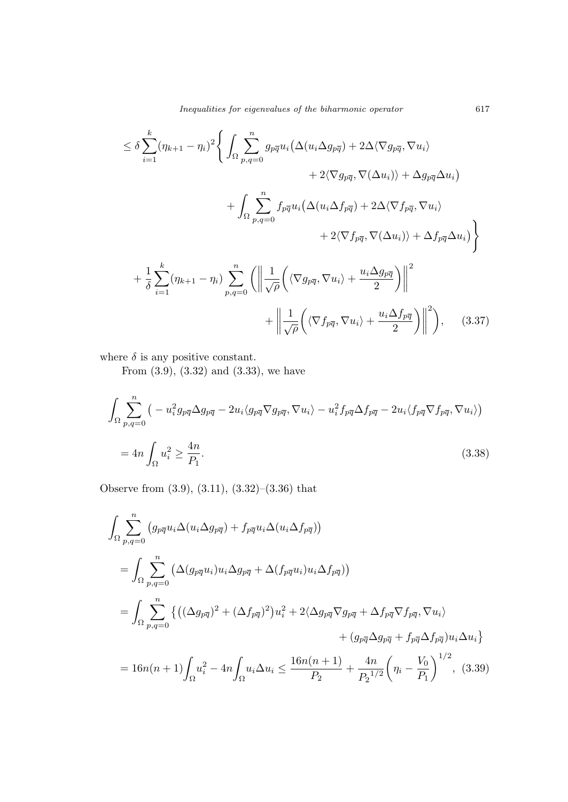$$
\leq \delta \sum_{i=1}^{k} (\eta_{k+1} - \eta_i)^2 \Bigg\{ \int_{\Omega} \sum_{p,q=0}^{n} g_{p\overline{q}} u_i \big( \Delta(u_i \Delta g_{p\overline{q}}) + 2\Delta \langle \nabla g_{p\overline{q}}, \nabla u_i \rangle + 2 \langle \nabla g_{p\overline{q}}, \nabla(\Delta u_i) \rangle + \Delta g_{p\overline{q}} \Delta u_i \Bigg) + \int_{\Omega} \sum_{p,q=0}^{n} f_{p\overline{q}} u_i \big( \Delta(u_i \Delta f_{p\overline{q}}) + 2\Delta \langle \nabla f_{p\overline{q}}, \nabla u_i \rangle + 2 \langle \nabla f_{p\overline{q}}, \nabla(\Delta u_i) \rangle + \Delta f_{p\overline{q}} \Delta u_i \big) \Bigg\} + \frac{1}{\delta} \sum_{i=1}^{k} (\eta_{k+1} - \eta_i) \sum_{p,q=0}^{n} \Bigg( \Bigg\| \frac{1}{\sqrt{\rho}} \Big( \langle \nabla g_{p\overline{q}}, \nabla u_i \rangle + \frac{u_i \Delta g_{p\overline{q}}}{2} \Big) \Bigg\|^2 + \Bigg\| \frac{1}{\sqrt{\rho}} \Big( \langle \nabla f_{p\overline{q}}, \nabla u_i \rangle + \frac{u_i \Delta f_{p\overline{q}}}{2} \Big) \Bigg\|^2 \Bigg\}, \qquad (3.37)
$$

where  $\delta$  is any positive constant.

From (3.9), (3.32) and (3.33), we have

$$
\int_{\Omega} \sum_{p,q=0}^{n} \left( -u_i^2 g_{p\overline{q}} \Delta g_{p\overline{q}} - 2u_i \langle g_{p\overline{q}} \nabla g_{p\overline{q}}, \nabla u_i \rangle - u_i^2 f_{p\overline{q}} \Delta f_{p\overline{q}} - 2u_i \langle f_{p\overline{q}} \nabla f_{p\overline{q}}, \nabla u_i \rangle \right)
$$
  
= 
$$
4n \int_{\Omega} u_i^2 \ge \frac{4n}{P_1}.
$$
 (3.38)

Observe from (3.9), (3.11), (3.32)–(3.36) that

$$
\int_{\Omega} \sum_{p,q=0}^{n} (g_{p\overline{q}} u_i \Delta(u_i \Delta g_{p\overline{q}}) + f_{p\overline{q}} u_i \Delta(u_i \Delta f_{p\overline{q}}))
$$
\n
$$
= \int_{\Omega} \sum_{p,q=0}^{n} (\Delta(g_{p\overline{q}} u_i) u_i \Delta g_{p\overline{q}} + \Delta(f_{p\overline{q}} u_i) u_i \Delta f_{p\overline{q}}))
$$
\n
$$
= \int_{\Omega} \sum_{p,q=0}^{n} \{ ((\Delta g_{p\overline{q}})^2 + (\Delta f_{p\overline{q}})^2) u_i^2 + 2(\Delta g_{p\overline{q}} \nabla g_{p\overline{q}} + \Delta f_{p\overline{q}} \nabla f_{p\overline{q}}, \nabla u_i) + (g_{p\overline{q}} \Delta g_{p\overline{q}} + f_{p\overline{q}} \Delta f_{p\overline{q}}) u_i \Delta u_i \}
$$
\n
$$
= 16n(n+1) \int_{\Omega} u_i^2 - 4n \int_{\Omega} u_i \Delta u_i \le \frac{16n(n+1)}{P_2} + \frac{4n}{P_2^{1/2}} \left( \eta_i - \frac{V_0}{P_1} \right)^{1/2}, \quad (3.39)
$$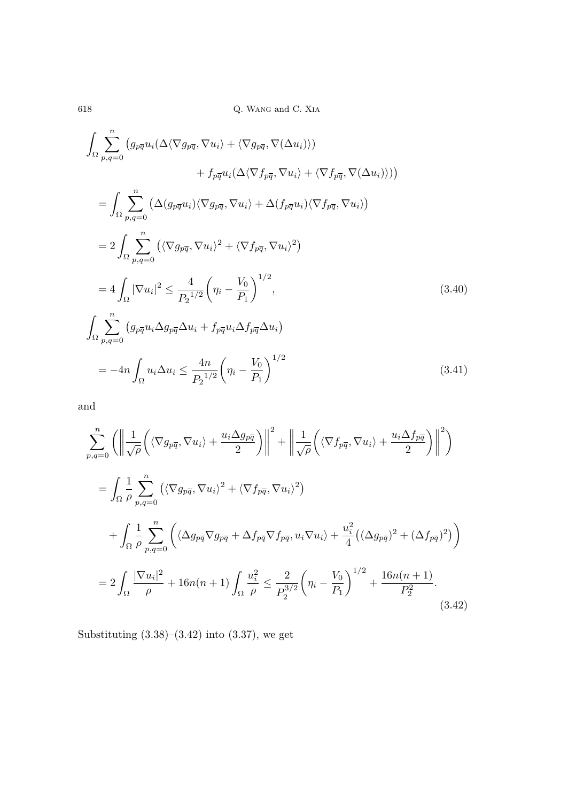$$
\int_{\Omega} \sum_{p,q=0}^{n} \left( g_{p\overline{q}} u_i (\Delta \langle \nabla g_{p\overline{q}}, \nabla u_i \rangle + \langle \nabla g_{p\overline{q}}, \nabla (\Delta u_i) \rangle \right) \n+ f_{p\overline{q}} u_i (\Delta \langle \nabla f_{p\overline{q}}, \nabla u_i \rangle + \langle \nabla f_{p\overline{q}}, \nabla (\Delta u_i) \rangle ) )
$$
\n
$$
= \int_{\Omega} \sum_{p,q=0}^{n} \left( \Delta (g_{p\overline{q}} u_i) \langle \nabla g_{p\overline{q}}, \nabla u_i \rangle + \Delta (f_{p\overline{q}} u_i) \langle \nabla f_{p\overline{q}}, \nabla u_i \rangle \right)
$$
\n
$$
= 2 \int_{\Omega} \sum_{p,q=0}^{n} \left( \langle \nabla g_{p\overline{q}}, \nabla u_i \rangle^2 + \langle \nabla f_{p\overline{q}}, \nabla u_i \rangle^2 \right)
$$
\n
$$
= 4 \int_{\Omega} |\nabla u_i|^2 \le \frac{4}{P_2^{1/2}} \left( \eta_i - \frac{V_0}{P_1} \right)^{1/2},
$$
\n
$$
\int_{\Omega} \sum_{p,q=0}^{n} \left( g_{p\overline{q}} u_i \Delta g_{p\overline{q}} \Delta u_i + f_{p\overline{q}} u_i \Delta f_{p\overline{q}} \Delta u_i \right)
$$
\n
$$
= -4n \int_{\Omega} u_i \Delta u_i \le \frac{4n}{P_2^{1/2}} \left( \eta_i - \frac{V_0}{P_1} \right)^{1/2}
$$
\n(3.41)

and

$$
\sum_{p,q=0}^{n} \left( \left\| \frac{1}{\sqrt{\rho}} \left( \langle \nabla g_{p\overline{q}}, \nabla u_i \rangle + \frac{u_i \Delta g_{p\overline{q}}}{2} \right) \right\|^2 + \left\| \frac{1}{\sqrt{\rho}} \left( \langle \nabla f_{p\overline{q}}, \nabla u_i \rangle + \frac{u_i \Delta f_{p\overline{q}}}{2} \right) \right\|^2 \right)
$$
  
\n
$$
= \int_{\Omega} \frac{1}{\rho} \sum_{p,q=0}^{n} \left( \langle \nabla g_{p\overline{q}}, \nabla u_i \rangle^2 + \langle \nabla f_{p\overline{q}}, \nabla u_i \rangle^2 \right)
$$
  
\n
$$
+ \int_{\Omega} \frac{1}{\rho} \sum_{p,q=0}^{n} \left( \langle \Delta g_{p\overline{q}} \nabla g_{p\overline{q}} + \Delta f_{p\overline{q}} \nabla f_{p\overline{q}}, u_i \nabla u_i \rangle + \frac{u_i^2}{4} \left( (\Delta g_{p\overline{q}})^2 + (\Delta f_{p\overline{q}})^2 \right) \right)
$$
  
\n
$$
= 2 \int_{\Omega} \frac{|\nabla u_i|^2}{\rho} + 16n(n+1) \int_{\Omega} \frac{u_i^2}{\rho} \leq \frac{2}{P_2^{3/2}} \left( \eta_i - \frac{V_0}{P_1} \right)^{1/2} + \frac{16n(n+1)}{P_2^2}.
$$
 (3.42)

Substituting  $(3.38)$ – $(3.42)$  into  $(3.37)$ , we get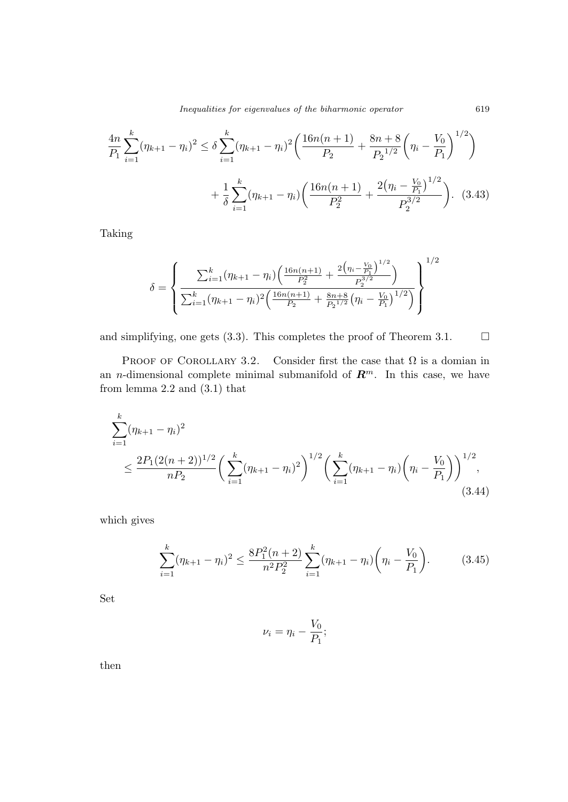$$
\frac{4n}{P_1} \sum_{i=1}^k (\eta_{k+1} - \eta_i)^2 \le \delta \sum_{i=1}^k (\eta_{k+1} - \eta_i)^2 \left( \frac{16n(n+1)}{P_2} + \frac{8n+8}{P_2^{1/2}} \left( \eta_i - \frac{V_0}{P_1} \right)^{1/2} \right) + \frac{1}{\delta} \sum_{i=1}^k (\eta_{k+1} - \eta_i) \left( \frac{16n(n+1)}{P_2^2} + \frac{2(\eta_i - \frac{V_0}{P_1})^{1/2}}{P_2^{3/2}} \right). \tag{3.43}
$$

Taking

$$
\delta = \left\{ \frac{\sum_{i=1}^{k} (\eta_{k+1} - \eta_i) \left( \frac{16n(n+1)}{P_2^2} + \frac{2(\eta_i - \frac{V_0}{P_1})^{1/2}}{P_2^{3/2}} \right)}{\sum_{i=1}^{k} (\eta_{k+1} - \eta_i)^2 \left( \frac{16n(n+1)}{P_2} + \frac{8n+8}{P_2^{1/2}} (\eta_i - \frac{V_0}{P_1})^{1/2} \right)} \right\}^{1/2}
$$

and simplifying, one gets (3.3). This completes the proof of Theorem 3.1.  $\Box$ 

PROOF OF COROLLARY 3.2. Consider first the case that  $\Omega$  is a domian in an *n*-dimensional complete minimal submanifold of  $\mathbb{R}^m$ . In this case, we have from lemma 2.2 and (3.1) that

$$
\sum_{i=1}^{k} (\eta_{k+1} - \eta_i)^2
$$
\n
$$
\leq \frac{2P_1(2(n+2))^{1/2}}{nP_2} \left( \sum_{i=1}^{k} (\eta_{k+1} - \eta_i)^2 \right)^{1/2} \left( \sum_{i=1}^{k} (\eta_{k+1} - \eta_i) \left( \eta_i - \frac{V_0}{P_1} \right) \right)^{1/2},
$$
\n(3.44)

which gives

$$
\sum_{i=1}^{k} (\eta_{k+1} - \eta_i)^2 \le \frac{8P_1^2(n+2)}{n^2 P_2^2} \sum_{i=1}^{k} (\eta_{k+1} - \eta_i) \left(\eta_i - \frac{V_0}{P_1}\right). \tag{3.45}
$$

Set

$$
\nu_i = \eta_i - \frac{V_0}{P_1};
$$

then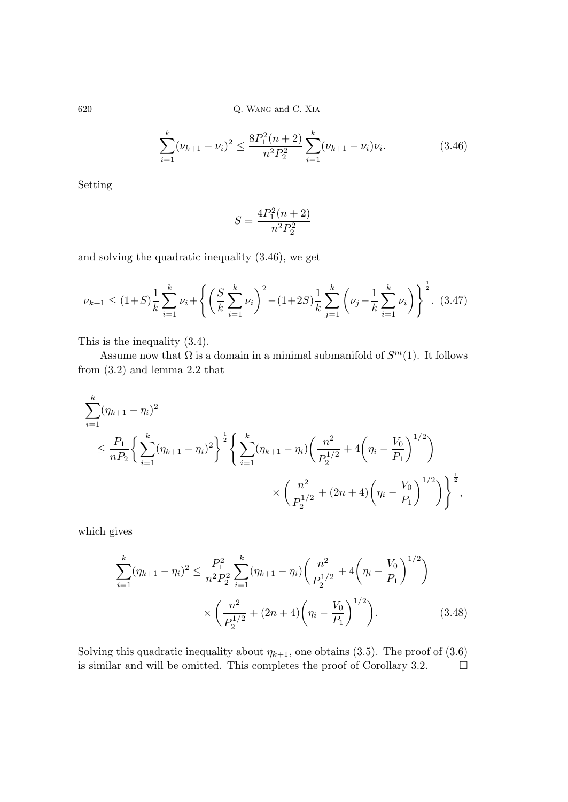$$
\sum_{i=1}^{k} (\nu_{k+1} - \nu_i)^2 \le \frac{8P_1^2(n+2)}{n^2 P_2^2} \sum_{i=1}^{k} (\nu_{k+1} - \nu_i)\nu_i.
$$
 (3.46)

Setting

$$
S = \frac{4P_1^2(n+2)}{n^2P_2^2}
$$

and solving the quadratic inequality (3.46), we get

$$
\nu_{k+1} \le (1+S)\frac{1}{k}\sum_{i=1}^k \nu_i + \left\{ \left(\frac{S}{k}\sum_{i=1}^k \nu_i\right)^2 - (1+2S)\frac{1}{k}\sum_{j=1}^k \left(\nu_j - \frac{1}{k}\sum_{i=1}^k \nu_i\right) \right\}^{\frac{1}{2}}.
$$
 (3.47)

This is the inequality (3.4).

Assume now that  $\Omega$  is a domain in a minimal submanifold of  $S^m(1)$ . It follows from (3.2) and lemma 2.2 that

$$
\sum_{i=1}^{k} (\eta_{k+1} - \eta_i)^2
$$
\n
$$
\leq \frac{P_1}{nP_2} \left\{ \sum_{i=1}^{k} (\eta_{k+1} - \eta_i)^2 \right\}^{\frac{1}{2}} \left\{ \sum_{i=1}^{k} (\eta_{k+1} - \eta_i) \left( \frac{n^2}{P_2^{1/2}} + 4\left( \eta_i - \frac{V_0}{P_1} \right)^{1/2} \right) \right\}
$$
\n
$$
\times \left( \frac{n^2}{P_2^{1/2}} + (2n+4) \left( \eta_i - \frac{V_0}{P_1} \right)^{1/2} \right) \right\}^{\frac{1}{2}},
$$

which gives

$$
\sum_{i=1}^{k} (\eta_{k+1} - \eta_i)^2 \le \frac{P_1^2}{n^2 P_2^2} \sum_{i=1}^{k} (\eta_{k+1} - \eta_i) \left( \frac{n^2}{P_2^{1/2}} + 4\left(\eta_i - \frac{V_0}{P_1}\right)^{1/2} \right)
$$

$$
\times \left( \frac{n^2}{P_2^{1/2}} + (2n+4)\left(\eta_i - \frac{V_0}{P_1}\right)^{1/2} \right). \tag{3.48}
$$

Solving this quadratic inequality about  $\eta_{k+1}$ , one obtains (3.5). The proof of (3.6) is similar and will be omitted. This completes the proof of Corollary 3.2.  $\Box$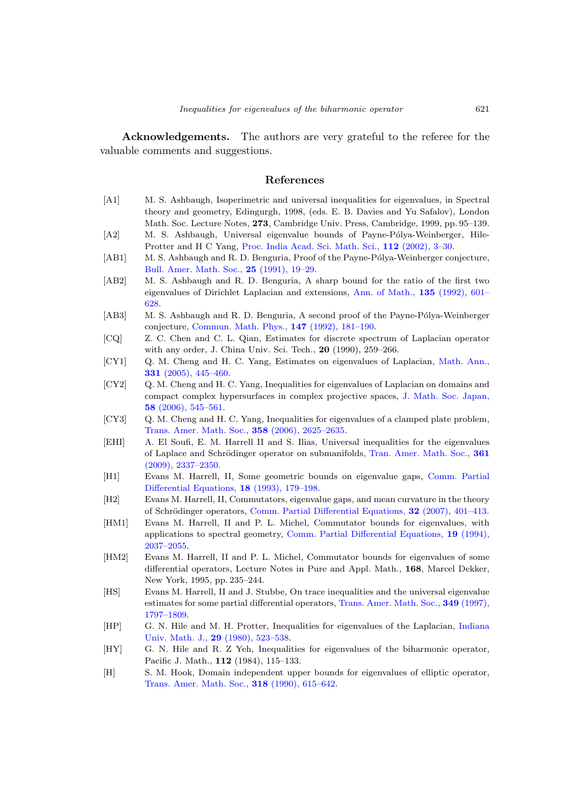Acknowledgements. The authors are very grateful to the referee for the valuable comments and suggestions.

#### References

- [A1] M. S. Ashbaugh, Isoperimetric and universal inequalities for eigenvalues, in Spectral theory and geometry, Edingurgh, 1998, (eds. E. B. Davies and Yu Safalov), London Math. Soc. Lecture Notes, 273, Cambridge Univ. Press, Cambridge, 1999, pp. 95–139. [A2] M. S. Ashbaugh, Universal eigenvalue bounds of Payne-Pólya-Weinberger, Hile-
- Protter and H C Yang, [Proc. India Acad. Sci. Math. Sci.,](http://dx.doi.org/10.1007/BF02829638) 112 (2002), 3–30.
- [AB1] M. S. Ashbaugh and R. D. Benguria, Proof of the Payne-Pólya-Weinberger conjecture, [Bull. Amer. Math. Soc.,](http://dx.doi.org/10.1090/S0273-0979-1991-16016-7) 25 (1991), 19–29.
- [AB2] M. S. Ashbaugh and R. D. Benguria, A sharp bound for the ratio of the first two [eigenvalues of Dirichlet Laplacian and extensions,](http://dx.doi.org/10.2307/2946578) Ann. of Math., 135 (1992), 601– 628.
- [AB3] M. S. Ashbaugh and R. D. Benguria, A second proof of the Payne-Pólya-Weinberger conjecture, [Commun. Math. Phys.,](http://dx.doi.org/10.1007/BF02099533) 147 (1992), 181–190.
- [CQ] Z. C. Chen and C. L. Qian, Estimates for discrete spectrum of Laplacian operator with any order, J. China Univ. Sci. Tech., 20 (1990), 259–266.
- [CY1] [Q. M. Cheng and H. C. Yang, Estimates on eigenvalues of Laplacian,](http://dx.doi.org/10.1007/s00208-004-0589-z) Math. Ann., 331 (2005), 445–460.
- [CY2] Q. M. Cheng and H. C. Yang, Inequalities for eigenvalues of Laplacian on domains and [compact complex hypersurfaces in complex projective spaces,](http://dx.doi.org/10.2969/jmsj/1149166788) J. Math. Soc. Japan, 58 (2006), 545–561.
- [CY3] Q. M. Cheng and H. C. Yang, Inequalities for eigenvalues of a clamped plate problem, [Trans. Amer. Math. Soc.,](http://dx.doi.org/10.1090/S0002-9947-05-04023-7) 358 (2006), 2625–2635.
- [EHI] A. El Soufi, E. M. Harrell II and S. Ilias, Universal inequalities for the eigenvalues of Laplace and Schrödinger operator on submanifolds, Tran. Amer. Math. Soc., 361 (2009), 2337–2350.
- [H1] [Evans M. Harrell, II, Some geometric bounds on eigenvalue gaps,](http://dx.doi.org/10.1080/03605309308820926) Comm. Partial Differential Equations, 18 (1993), 179–198.
- [H2] Evans M. Harrell, II, Commutators, eigenvalue gaps, and mean curvature in the theory of Schrödinger operators, [Comm. Partial Differential Equations,](http://dx.doi.org/10.1080/03605300500532889) 32 (2007), 401–413.
- [HM1] Evans M. Harrell, II and P. L. Michel, Commutator bounds for eigenvalues, with applications to spectral geometry, [Comm. Partial Differential Equations,](http://dx.doi.org/10.1080/03605309408821081) 19 (1994), 2037–2055.
- [HM2] Evans M. Harrell, II and P. L. Michel, Commutator bounds for eigenvalues of some differential operators, Lecture Notes in Pure and Appl. Math., 168, Marcel Dekker, New York, 1995, pp. 235–244.
- [HS] Evans M. Harrell, II and J. Stubbe, On trace inequalities and the universal eigenvalue [estimates for some partial differential operators,](http://dx.doi.org/10.1090/S0002-9947-97-01846-1) Trans. Amer. Math. Soc., 349 (1997), 1797–1809.
- [HP] [G. N. Hile and M. H. Protter, Inequalities for eigenvalues of the Laplacian,](http://dx.doi.org/10.1512/iumj.1980.29.29040) Indiana Univ. Math. J., 29 (1980), 523–538.
- [HY] G. N. Hile and R. Z Yeh, Inequalities for eigenvalues of the biharmonic operator, Pacific J. Math., 112 (1984), 115–133.
- [H] S. M. Hook, Domain independent upper bounds for eigenvalues of elliptic operator, [Trans. Amer. Math. Soc.,](http://dx.doi.org/10.2307/2001323) 318 (1990), 615–642.